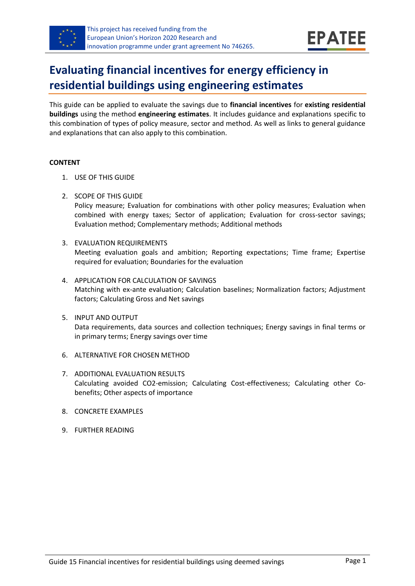

# **Evaluating financial incentives for energy efficiency in residential buildings using engineering estimates**

This guide can be applied to evaluate the savings due to **financial incentives** for **existing residential buildings** using the method **engineering estimates**. It includes guidance and explanations specific to this combination of types of policy measure, sector and method. As well as links to general guidance and explanations that can also apply to this combination.

#### **CONTENT**

- 1. USE OF THIS GUIDE
- 2. SCOPE OF THIS GUIDE

Policy measure; Evaluation for combinations with other policy measures; Evaluation when combined with energy taxes; Sector of application; Evaluation for cross-sector savings; Evaluation method; Complementary methods; Additional methods

- 3. EVALUATION REQUIREMENTS Meeting evaluation goals and ambition; Reporting expectations; Time frame; Expertise required for evaluation; Boundaries for the evaluation
- 4. APPLICATION FOR CALCULATION OF SAVINGS Matching with ex-ante evaluation; Calculation baselines; Normalization factors; Adjustment factors; Calculating Gross and Net savings
- 5. INPUT AND OUTPUT Data requirements, data sources and collection techniques; Energy savings in final terms or in primary terms; Energy savings over time
- 6. ALTERNATIVE FOR CHOSEN METHOD
- 7. ADDITIONAL EVALUATION RESULTS Calculating avoided CO2-emission; Calculating Cost-effectiveness; Calculating other Cobenefits; Other aspects of importance
- 8. CONCRETE EXAMPLES
- 9. FURTHER READING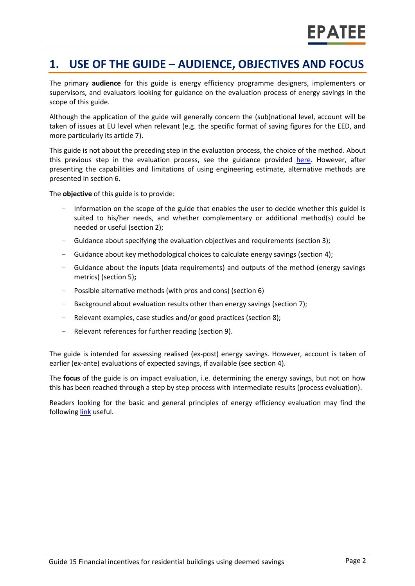## **1. USE OF THE GUIDE – AUDIENCE, OBJECTIVES AND FOCUS**

The primary **audience** for this guide is energy efficiency programme designers, implementers or supervisors, and evaluators looking for guidance on the evaluation process of energy savings in the scope of this guide.

Although the application of the guide will generally concern the (sub)national level, account will be taken of issues at EU level when relevant (e.g. the specific format of saving figures for the EED, and more particularly its article 7).

This guide is not about the preceding step in the evaluation process, the choice of the method. About this previous step in the evaluation process, see the guidance provided [here.](https://www.epatee-toolbox.eu/evaluation-principles-and-methods/process-of-evaluation/how-to-plan-and-prepare-evaluations/) However, after presenting the capabilities and limitations of using engineering estimate, alternative methods are presented in section 6.

The **objective** of this guide is to provide:

- Information on the scope of the guide that enables the user to decide whether this guidel is suited to his/her needs, and whether complementary or additional method(s) could be needed or useful (section 2);
- Guidance about specifying the evaluation objectives and requirements (section 3);
- Guidance about key methodological choices to calculate energy savings (section 4);
- Guidance about the inputs (data requirements) and outputs of the method (energy savings metrics) (section 5)**;**
- Possible alternative methods (with pros and cons) (section 6)
- Background about evaluation results other than energy savings (section 7);
- Relevant examples, case studies and/or good practices (section 8);
- Relevant references for further reading (section 9).

The guide is intended for assessing realised (ex-post) energy savings. However, account is taken of earlier (ex-ante) evaluations of expected savings, if available (see section 4).

The **focus** of the guide is on impact evaluation, i.e. determining the energy savings, but not on how this has been reached through a step by step process with intermediate results (process evaluation).

Readers looking for the basic and general principles of energy efficiency evaluation may find the followin[g link](https://www.epatee-toolbox.eu/evaluation-principles-and-methods/) useful.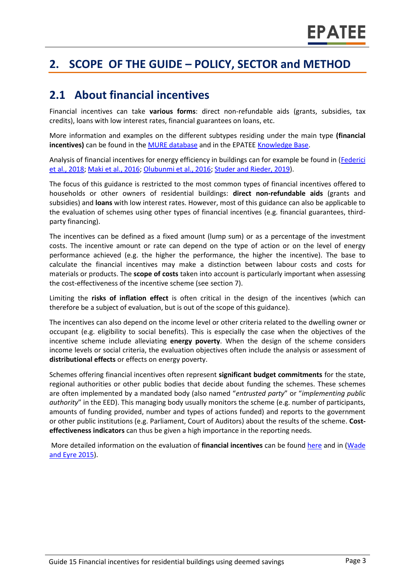# <span id="page-2-0"></span>**2. SCOPE OF THE GUIDE – POLICY, SECTOR and METHOD**

## **2.1 About financial incentives**

Financial incentives can take **various forms**: direct non-refundable aids (grants, subsidies, tax credits), loans with low interest rates, financial guarantees on loans, etc.

More information and examples on the different subtypes residing under the main type **(financial incentives)** can be found in the [MURE database](http://www.measures-odyssee-mure.eu/) and in the EPATE[E Knowledge Base.](https://www.epatee-lib.eu/)

Analysis of financial incentives for energy efficiency in buildings can for example be found in [\(Federici](http://www.odyssee-mure.eu/publications/policy-brief/increasing-building-energy-efficiency-incentive-schemes.pdf)  [et al., 2018;](http://www.odyssee-mure.eu/publications/policy-brief/increasing-building-energy-efficiency-incentive-schemes.pdf) [Maki et al., 2016;](http://www.alexmaki.com/uploads/5/1/9/7/5197184/paying_people_to_protect_-_maki_et_al._-_accepted_version.pdf) [Olubunmi et al., 2016;](http://eprints.qut.edu.au/92701/3/92701.pdf) [Studer and Rieder, 2019\)](https://www.mdpi.com/2225-1154/7/2/28/pdf).

The focus of this guidance is restricted to the most common types of financial incentives offered to households or other owners of residential buildings: **direct non-refundable aids** (grants and subsidies) and **loans** with low interest rates. However, most of this guidance can also be applicable to the evaluation of schemes using other types of financial incentives (e.g. financial guarantees, thirdparty financing).

The incentives can be defined as a fixed amount (lump sum) or as a percentage of the investment costs. The incentive amount or rate can depend on the type of action or on the level of energy performance achieved (e.g. the higher the performance, the higher the incentive). The base to calculate the financial incentives may make a distinction between labour costs and costs for materials or products. The **scope of costs** taken into account is particularly important when assessing the cost-effectiveness of the incentive scheme (see section 7).

Limiting the **risks of inflation effect** is often critical in the design of the incentives (which can therefore be a subject of evaluation, but is out of the scope of this guidance).

The incentives can also depend on the income level or other criteria related to the dwelling owner or occupant (e.g. eligibility to social benefits). This is especially the case when the objectives of the incentive scheme include alleviating **energy poverty**. When the design of the scheme considers income levels or social criteria, the evaluation objectives often include the analysis or assessment of **distributional effects** or effects on energy poverty.

Schemes offering financial incentives often represent **significant budget commitments** for the state, regional authorities or other public bodies that decide about funding the schemes. These schemes are often implemented by a mandated body (also named "*entrusted party*" or "*implementing public authority*" in the EED). This managing body usually monitors the scheme (e.g. number of participants, amounts of funding provided, number and types of actions funded) and reports to the government or other public institutions (e.g. Parliament, Court of Auditors) about the results of the scheme. **Costeffectiveness indicators** can thus be given a high importance in the reporting needs.

More detailed information on the evaluation of **financial incentives** can be found [here](https://www.epatee-lib.eu/media/docs/EMEEES_WP2_D1_Assessment_existing_evaluation_2008-04-21.pdf) and in [\(Wade](http://www.ukerc.ac.uk/programmes/technology-and-policy-assessment/energy-efficiency-evaluation.html)  [and Eyre 2015\)](http://www.ukerc.ac.uk/programmes/technology-and-policy-assessment/energy-efficiency-evaluation.html).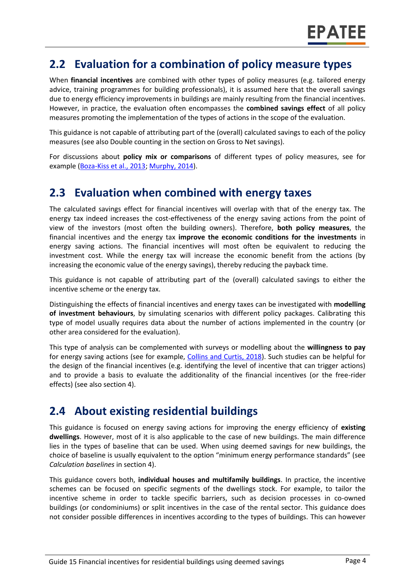## **2.2 Evaluation for a combination of policy measure types**

When **financial incentives** are combined with other types of policy measures (e.g. tailored energy advice, training programmes for building professionals), it is assumed here that the overall savings due to energy efficiency improvements in buildings are mainly resulting from the financial incentives. However, in practice, the evaluation often encompasses the **combined savings effect** of all policy measures promoting the implementation of the types of actions in the scope of the evaluation.

This guidance is not capable of attributing part of the (overall) calculated savings to each of the policy measures (see also Double counting in the section on Gross to Net savings).

For discussions about **policy mix or comparisons** of different types of policy measures, see for example [\(Boza-Kiss et al., 2013;](https://www.sciencedirect.com/science/article/pii/S1877343513000341) [Murphy, 2014\)](https://www.researchgate.net/profile/Lorraine_Murphy2/publication/263610948_The_policy_instruments_of_European_front-runners_Effective_for_saving_energy_in_existing_dwellings/links/56ddc59908aed4e2a99c5cdf.pdf).

## **2.3 Evaluation when combined with energy taxes**

The calculated savings effect for financial incentives will overlap with that of the energy tax. The energy tax indeed increases the cost-effectiveness of the energy saving actions from the point of view of the investors (most often the building owners). Therefore, **both policy measures**, the financial incentives and the energy tax **improve the economic conditions for the investments** in energy saving actions. The financial incentives will most often be equivalent to reducing the investment cost. While the energy tax will increase the economic benefit from the actions (by increasing the economic value of the energy savings), thereby reducing the payback time.

This guidance is not capable of attributing part of the (overall) calculated savings to either the incentive scheme or the energy tax.

Distinguishing the effects of financial incentives and energy taxes can be investigated with **modelling of investment behaviours**, by simulating scenarios with different policy packages. Calibrating this type of model usually requires data about the number of actions implemented in the country (or other area considered for the evaluation).

This type of analysis can be complemented with surveys or modelling about the **willingness to pay** for energy saving actions (see for example, [Collins and Curtis, 2018\)](https://www.sciencedirect.com/science/article/pii/S0301421518301897). Such studies can be helpful for the design of the financial incentives (e.g. identifying the level of incentive that can trigger actions) and to provide a basis to evaluate the additionality of the financial incentives (or the free-rider effects) (see also section 4).

## **2.4 About existing residential buildings**

This guidance is focused on energy saving actions for improving the energy efficiency of **existing dwellings**. However, most of it is also applicable to the case of new buildings. The main difference lies in the types of baseline that can be used. When using deemed savings for new buildings, the choice of baseline is usually equivalent to the option "minimum energy performance standards" (see *Calculation baselines* in section 4).

This guidance covers both, **individual houses and multifamily buildings**. In practice, the incentive schemes can be focused on specific segments of the dwellings stock. For example, to tailor the incentive scheme in order to tackle specific barriers, such as decision processes in co-owned buildings (or condominiums) or split incentives in the case of the rental sector. This guidance does not consider possible differences in incentives according to the types of buildings. This can however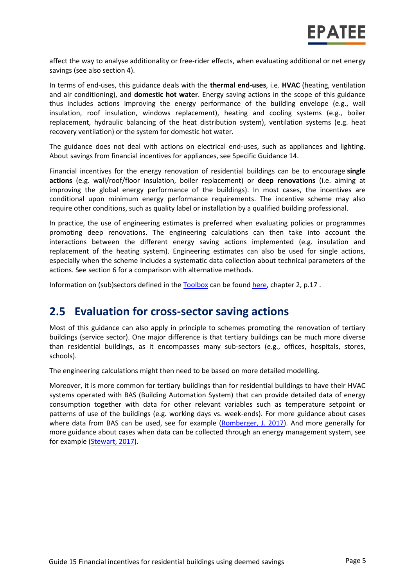affect the way to analyse additionality or free-rider effects, when evaluating additional or net energy savings (see also section 4).

In terms of end-uses, this guidance deals with the **thermal end-uses**, i.e. **HVAC** (heating, ventilation and air conditioning), and **domestic hot water**. Energy saving actions in the scope of this guidance thus includes actions improving the energy performance of the building envelope (e.g., wall insulation, roof insulation, windows replacement), heating and cooling systems (e.g., boiler replacement, hydraulic balancing of the heat distribution system), ventilation systems (e.g. heat recovery ventilation) or the system for domestic hot water.

The guidance does not deal with actions on electrical end-uses, such as appliances and lighting. About savings from financial incentives for appliances, see Specific Guidance 14.

Financial incentives for the energy renovation of residential buildings can be to encourage **single actions** (e.g. wall/roof/floor insulation, boiler replacement) or **deep renovations** (i.e. aiming at improving the global energy performance of the buildings). In most cases, the incentives are conditional upon minimum energy performance requirements. The incentive scheme may also require other conditions, such as quality label or installation by a qualified building professional.

In practice, the use of engineering estimates is preferred when evaluating policies or programmes promoting deep renovations. The engineering calculations can then take into account the interactions between the different energy saving actions implemented (e.g. insulation and replacement of the heating system). Engineering estimates can also be used for single actions, especially when the scheme includes a systematic data collection about technical parameters of the actions. See section 6 for a comparison with alternative methods.

Information on (sub)sectors defined in the [Toolbox](https://epatee.eu/online-tool-guidance-and-support-put-evaluation-energy-savings-programs-practice) can be found [here,](https://www.epatee-toolbox.eu/evaluation-principles-and-methods/general-principles/definitions-and-typologies/) chapter 2, p.17.

#### **2.5 Evaluation for cross-sector saving actions**

Most of this guidance can also apply in principle to schemes promoting the renovation of tertiary buildings (service sector). One major difference is that tertiary buildings can be much more diverse than residential buildings, as it encompasses many sub-sectors (e.g., offices, hospitals, stores, schools).

The engineering calculations might then need to be based on more detailed modelling.

Moreover, it is more common for tertiary buildings than for residential buildings to have their HVAC systems operated with BAS (Building Automation System) that can provide detailed data of energy consumption together with data for other relevant variables such as temperature setpoint or patterns of use of the buildings (e.g. working days vs. week-ends). For more guidance about cases where data from BAS can be used, see for example [\(Romberger, J. 2017\)](https://www.nrel.gov/docs/fy17osti/68575.pdf). And more generally for more guidance about cases when data can be collected through an energy management system, see for example [\(Stewart, 2017\)](https://www.nrel.gov/docs/fy17osti/68316.pdf).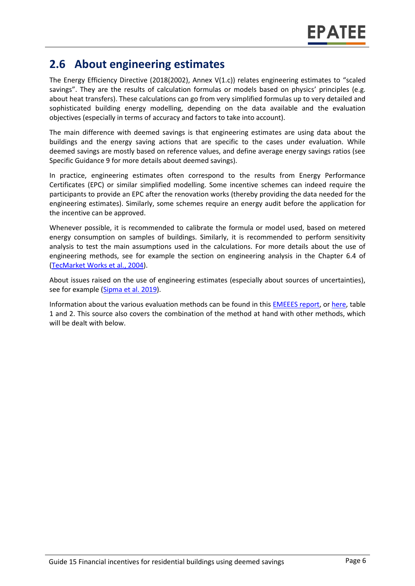## **2.6 About engineering estimates**

The Energy Efficiency Directive (2018(2002), Annex V(1.c)) relates engineering estimates to "scaled savings". They are the results of calculation formulas or models based on physics' principles (e.g. about heat transfers). These calculations can go from very simplified formulas up to very detailed and sophisticated building energy modelling, depending on the data available and the evaluation objectives (especially in terms of accuracy and factors to take into account).

The main difference with deemed savings is that engineering estimates are using data about the buildings and the energy saving actions that are specific to the cases under evaluation. While deemed savings are mostly based on reference values, and define average energy savings ratios (see Specific Guidance 9 for more details about deemed savings).

In practice, engineering estimates often correspond to the results from Energy Performance Certificates (EPC) or similar simplified modelling. Some incentive schemes can indeed require the participants to provide an EPC after the renovation works (thereby providing the data needed for the engineering estimates). Similarly, some schemes require an energy audit before the application for the incentive can be approved.

Whenever possible, it is recommended to calibrate the formula or model used, based on metered energy consumption on samples of buildings. Similarly, it is recommended to perform sensitivity analysis to test the main assumptions used in the calculations. For more details about the use of engineering methods, see for example the section on engineering analysis in the Chapter 6.4 of [\(TecMarket Works et al.,](https://www.google.nl/url?sa=t&rct=j&q=&esrc=s&source=web&cd=1&ved=2ahUKEwjog7Lj-rTlAhXSL1AKHQHqAJIQFjAAegQIAxAJ&url=http%3A%2F%2Fwww.calmac.org%2FstartDownload.asp%3FName%3DCommercial%255FWhole%255FBuilding%255FJoint%255FStudy%255FID%255FPGE0431%252E01%252Epdf%26Size%3D997KB&usg=AOvVaw36a9mn9q8rkM-sFAYyIcCn) 2004).

About issues raised on the use of engineering estimates (especially about sources of uncertainties), see for example [\(Sipma et al. 2019\)](https://www.epatee-toolbox.eu/evaluation-principles-and-methods/epatee-topical-case-study-comparing-estimated-versus-measured-energy-savings/).

Information about the various evaluation methods can be found in this [EMEEES report,](https://www.epatee-lib.eu/media/docs/EMEEES_WP3_Report_Final.pdf) or [here,](https://www.epatee-toolbox.eu/wp-content/uploads/2019/04/Saving_calculation_methods_for_EPATEE_Toobox_2019_04_24.pdf) table 1 and 2. This source also covers the combination of the method at hand with other methods, which will be dealt with below.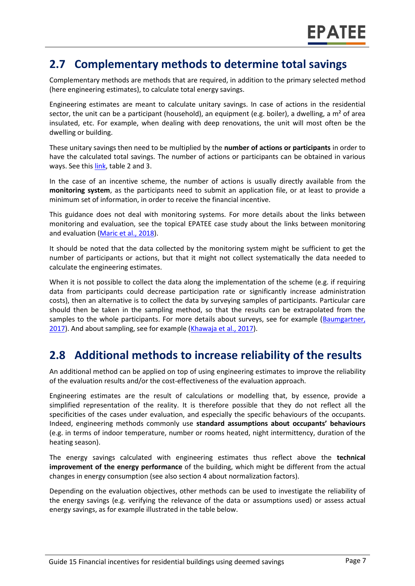## **2.7 Complementary methods to determine total savings**

Complementary methods are methods that are required, in addition to the primary selected method (here engineering estimates), to calculate total energy savings.

Engineering estimates are meant to calculate unitary savings. In case of actions in the residential sector, the unit can be a participant (household), an equipment (e.g. boiler), a dwelling, a m<sup>2</sup> of area insulated, etc. For example, when dealing with deep renovations, the unit will most often be the dwelling or building.

These unitary savings then need to be multiplied by the **number of actions or participants** in order to have the calculated total savings. The number of actions or participants can be obtained in various ways. See this [link,](https://www.epatee-toolbox.eu/evaluation-principles-and-methods/general-principles/saving-calculation-methods-and-their-application-in-the-epatee-toolbox/) table 2 and 3.

In the case of an incentive scheme, the number of actions is usually directly available from the **monitoring system**, as the participants need to submit an application file, or at least to provide a minimum set of information, in order to receive the financial incentive.

This guidance does not deal with monitoring systems. For more details about the links between monitoring and evaluation, see the topical EPATEE case study about the links between monitoring and evaluation [\(Maric et al., 2018\)](https://www.epatee-toolbox.eu/evaluation-principles-and-methods/epatee-topical-case-study-linkage-between-mv-tools-data-collection-and-evaluation-complementary-analysis/).

It should be noted that the data collected by the monitoring system might be sufficient to get the number of participants or actions, but that it might not collect systematically the data needed to calculate the engineering estimates.

When it is not possible to collect the data along the implementation of the scheme (e.g. if requiring data from participants could decrease participation rate or significantly increase administration costs), then an alternative is to collect the data by surveying samples of participants. Particular care should then be taken in the sampling method, so that the results can be extrapolated from the samples to the whole participants. For more details about surveys, see for example (Baumgartner, [2017\)](http://www.nrel.gov/docs/fy17osti/68568.pdf). And about sampling, see for example [\(Khawaja et al., 2017\)](https://www.nrel.gov/docs/fy17osti/68567.pdf).

## **2.8 Additional methods to increase reliability of the results**

An additional method can be applied on top of using engineering estimates to improve the reliability of the evaluation results and/or the cost-effectiveness of the evaluation approach.

Engineering estimates are the result of calculations or modelling that, by essence, provide a simplified representation of the reality. It is therefore possible that they do not reflect all the specificities of the cases under evaluation, and especially the specific behaviours of the occupants. Indeed, engineering methods commonly use **standard assumptions about occupants' behaviours** (e.g. in terms of indoor temperature, number or rooms heated, night intermittency, duration of the heating season).

The energy savings calculated with engineering estimates thus reflect above the **technical improvement of the energy performance** of the building, which might be different from the actual changes in energy consumption (see also section 4 about normalization factors).

Depending on the evaluation objectives, other methods can be used to investigate the reliability of the energy savings (e.g. verifying the relevance of the data or assumptions used) or assess actual energy savings, as for example illustrated in the table below.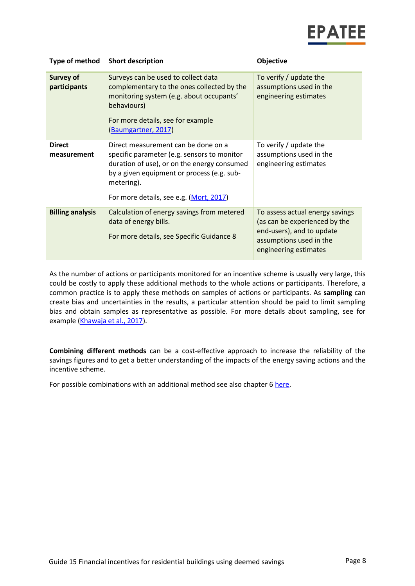| Type of method                   | <b>Short description</b>                                                                                                                                                                                                                 | Objective                                                                                                                                         |
|----------------------------------|------------------------------------------------------------------------------------------------------------------------------------------------------------------------------------------------------------------------------------------|---------------------------------------------------------------------------------------------------------------------------------------------------|
| <b>Survey of</b><br>participants | Surveys can be used to collect data<br>complementary to the ones collected by the<br>monitoring system (e.g. about occupants'<br>behaviours)<br>For more details, see for example<br>(Baumgartner, 2017)                                 | To verify / update the<br>assumptions used in the<br>engineering estimates                                                                        |
| <b>Direct</b><br>measurement     | Direct measurement can be done on a<br>specific parameter (e.g. sensors to monitor<br>duration of use), or on the energy consumed<br>by a given equipment or process (e.g. sub-<br>metering).<br>For more details, see e.g. (Mort, 2017) | To verify / update the<br>assumptions used in the<br>engineering estimates                                                                        |
| <b>Billing analysis</b>          | Calculation of energy savings from metered<br>data of energy bills.<br>For more details, see Specific Guidance 8                                                                                                                         | To assess actual energy savings<br>(as can be experienced by the<br>end-users), and to update<br>assumptions used in the<br>engineering estimates |

As the number of actions or participants monitored for an incentive scheme is usually very large, this could be costly to apply these additional methods to the whole actions or participants. Therefore, a common practice is to apply these methods on samples of actions or participants. As **sampling** can create bias and uncertainties in the results, a particular attention should be paid to limit sampling bias and obtain samples as representative as possible. For more details about sampling, see for example [\(Khawaja et al., 2017\)](https://www.nrel.gov/docs/fy17osti/68567.pdf).

**Combining different methods** can be a cost-effective approach to increase the reliability of the savings figures and to get a better understanding of the impacts of the energy saving actions and the incentive scheme.

For possible combinations with an additional method see also chapter 6 [here.](https://www.epatee-toolbox.eu/evaluation-principles-and-methods/general-principles/saving-calculation-methods-and-their-application-in-the-epatee-toolbox/)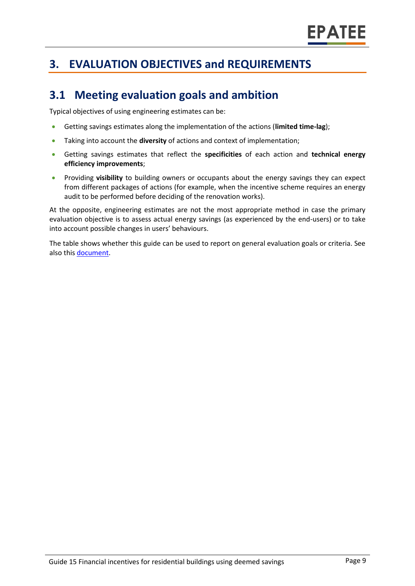## **3. EVALUATION OBJECTIVES and REQUIREMENTS**

## **3.1 Meeting evaluation goals and ambition**

Typical objectives of using engineering estimates can be:

- Getting savings estimates along the implementation of the actions (**limited time-lag**);
- Taking into account the **diversity** of actions and context of implementation;
- Getting savings estimates that reflect the **specificities** of each action and **technical energy efficiency improvements**;
- Providing **visibility** to building owners or occupants about the energy savings they can expect from different packages of actions (for example, when the incentive scheme requires an energy audit to be performed before deciding of the renovation works).

At the opposite, engineering estimates are not the most appropriate method in case the primary evaluation objective is to assess actual energy savings (as experienced by the end-users) or to take into account possible changes in users' behaviours.

The table shows whether this guide can be used to report on general evaluation goals or criteria. See also this [document.](https://www.epatee-lib.eu/media/docs/D4_EMEEES_Final.pdf)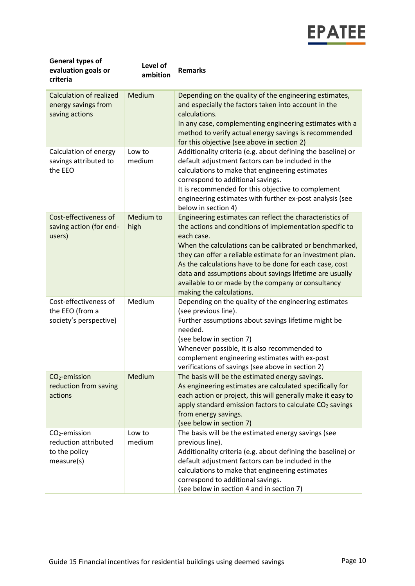| <b>General types of</b><br>evaluation goals or<br>criteria              | Level of<br>ambition | <b>Remarks</b>                                                                                                                                                                                                                                                                                                                                                                                                                                                      |
|-------------------------------------------------------------------------|----------------------|---------------------------------------------------------------------------------------------------------------------------------------------------------------------------------------------------------------------------------------------------------------------------------------------------------------------------------------------------------------------------------------------------------------------------------------------------------------------|
| <b>Calculation of realized</b><br>energy savings from<br>saving actions | Medium               | Depending on the quality of the engineering estimates,<br>and especially the factors taken into account in the<br>calculations.<br>In any case, complementing engineering estimates with a<br>method to verify actual energy savings is recommended<br>for this objective (see above in section 2)                                                                                                                                                                  |
| Calculation of energy<br>savings attributed to<br>the EEO               | Low to<br>medium     | Additionality criteria (e.g. about defining the baseline) or<br>default adjustment factors can be included in the<br>calculations to make that engineering estimates<br>correspond to additional savings.<br>It is recommended for this objective to complement<br>engineering estimates with further ex-post analysis (see<br>below in section 4)                                                                                                                  |
| Cost-effectiveness of<br>saving action (for end-<br>users)              | Medium to<br>high    | Engineering estimates can reflect the characteristics of<br>the actions and conditions of implementation specific to<br>each case.<br>When the calculations can be calibrated or benchmarked,<br>they can offer a reliable estimate for an investment plan.<br>As the calculations have to be done for each case, cost<br>data and assumptions about savings lifetime are usually<br>available to or made by the company or consultancy<br>making the calculations. |
| Cost-effectiveness of<br>the EEO (from a<br>society's perspective)      | Medium               | Depending on the quality of the engineering estimates<br>(see previous line).<br>Further assumptions about savings lifetime might be<br>needed.<br>(see below in section 7)<br>Whenever possible, it is also recommended to<br>complement engineering estimates with ex-post<br>verifications of savings (see above in section 2)                                                                                                                                   |
| $CO2$ -emission<br>reduction from saving<br>actions                     | Medium               | The basis will be the estimated energy savings.<br>As engineering estimates are calculated specifically for<br>each action or project, this will generally make it easy to<br>apply standard emission factors to calculate CO <sub>2</sub> savings<br>from energy savings.<br>(see below in section 7)                                                                                                                                                              |
| $CO2$ -emission<br>reduction attributed<br>to the policy<br>measure(s)  | Low to<br>medium     | The basis will be the estimated energy savings (see<br>previous line).<br>Additionality criteria (e.g. about defining the baseline) or<br>default adjustment factors can be included in the<br>calculations to make that engineering estimates<br>correspond to additional savings.<br>(see below in section 4 and in section 7)                                                                                                                                    |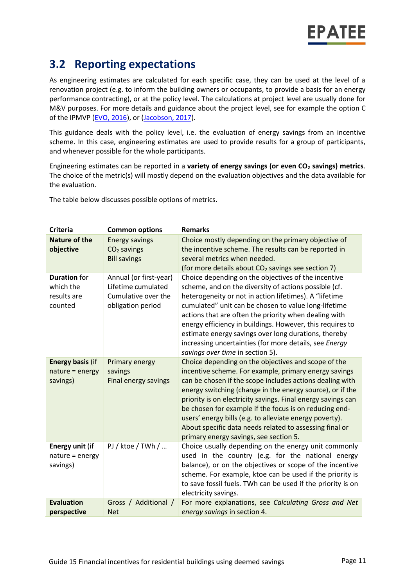## **3.2 Reporting expectations**

As engineering estimates are calculated for each specific case, they can be used at the level of a renovation project (e.g. to inform the building owners or occupants, to provide a basis for an energy performance contracting), or at the policy level. The calculations at project level are usually done for M&V purposes. For more details and guidance about the project level, see for example the option C of the IPMVP [\(EVO, 2016\)](https://evo-world.org/en/products-services-mainmenu-en/protocols/ipmvp), or [\(Jacobson, 2017\)](https://www.nrel.gov/docs/fy17osti/68561.pdf).

This guidance deals with the policy level, i.e. the evaluation of energy savings from an incentive scheme. In this case, engineering estimates are used to provide results for a group of participants, and whenever possible for the whole participants.

Engineering estimates can be reported in a **variety of energy savings (or even CO<sup>2</sup> savings) metrics**. The choice of the metric(s) will mostly depend on the evaluation objectives and the data available for the evaluation.

The table below discusses possible options of metrics.

| <b>Criteria</b>                                            | <b>Common options</b>                                                                    | <b>Remarks</b>                                                                                                                                                                                                                                                                                                                                                                                                                                                                                                                  |
|------------------------------------------------------------|------------------------------------------------------------------------------------------|---------------------------------------------------------------------------------------------------------------------------------------------------------------------------------------------------------------------------------------------------------------------------------------------------------------------------------------------------------------------------------------------------------------------------------------------------------------------------------------------------------------------------------|
| <b>Nature of the</b><br>objective                          | <b>Energy savings</b><br>$CO2$ savings<br><b>Bill savings</b>                            | Choice mostly depending on the primary objective of<br>the incentive scheme. The results can be reported in<br>several metrics when needed.<br>(for more details about CO <sub>2</sub> savings see section 7)                                                                                                                                                                                                                                                                                                                   |
| <b>Duration</b> for<br>which the<br>results are<br>counted | Annual (or first-year)<br>Lifetime cumulated<br>Cumulative over the<br>obligation period | Choice depending on the objectives of the incentive<br>scheme, and on the diversity of actions possible (cf.<br>heterogeneity or not in action lifetimes). A "lifetime<br>cumulated" unit can be chosen to value long-lifetime<br>actions that are often the priority when dealing with<br>energy efficiency in buildings. However, this requires to<br>estimate energy savings over long durations, thereby<br>increasing uncertainties (for more details, see Energy<br>savings over time in section 5).                      |
| <b>Energy basis (if</b><br>nature = energy<br>savings)     | Primary energy<br>savings<br><b>Final energy savings</b>                                 | Choice depending on the objectives and scope of the<br>incentive scheme. For example, primary energy savings<br>can be chosen if the scope includes actions dealing with<br>energy switching (change in the energy source), or if the<br>priority is on electricity savings. Final energy savings can<br>be chosen for example if the focus is on reducing end-<br>users' energy bills (e.g. to alleviate energy poverty).<br>About specific data needs related to assessing final or<br>primary energy savings, see section 5. |
| Energy unit (if<br>nature = energy<br>savings)             | PJ / ktoe / TWh /                                                                        | Choice usually depending on the energy unit commonly<br>used in the country (e.g. for the national energy<br>balance), or on the objectives or scope of the incentive<br>scheme. For example, ktoe can be used if the priority is<br>to save fossil fuels. TWh can be used if the priority is on<br>electricity savings.                                                                                                                                                                                                        |
| <b>Evaluation</b>                                          | Gross / Additional /                                                                     | For more explanations, see Calculating Gross and Net                                                                                                                                                                                                                                                                                                                                                                                                                                                                            |
| perspective                                                | <b>Net</b>                                                                               | energy savings in section 4.                                                                                                                                                                                                                                                                                                                                                                                                                                                                                                    |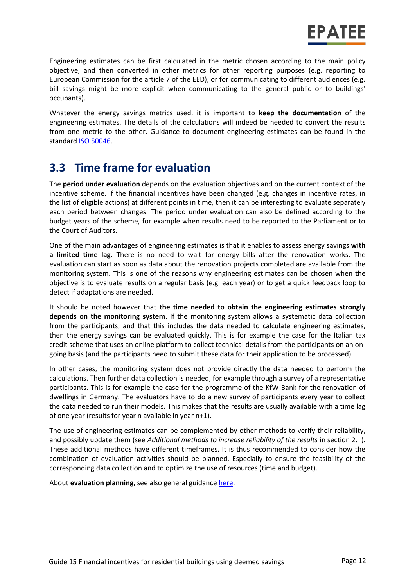Engineering estimates can be first calculated in the metric chosen according to the main policy objective, and then converted in other metrics for other reporting purposes (e.g. reporting to European Commission for the article 7 of the EED), or for communicating to different audiences (e.g. bill savings might be more explicit when communicating to the general public or to buildings' occupants).

Whatever the energy savings metrics used, it is important to **keep the documentation** of the engineering estimates. The details of the calculations will indeed be needed to convert the results from one metric to the other. Guidance to document engineering estimates can be found in the standard [ISO 50046.](https://www.iso.org/standard/67790.html)

## **3.3 Time frame for evaluation**

The **period under evaluation** depends on the evaluation objectives and on the current context of the incentive scheme. If the financial incentives have been changed (e.g. changes in incentive rates, in the list of eligible actions) at different points in time, then it can be interesting to evaluate separately each period between changes. The period under evaluation can also be defined according to the budget years of the scheme, for example when results need to be reported to the Parliament or to the Court of Auditors.

One of the main advantages of engineering estimates is that it enables to assess energy savings **with a limited time lag**. There is no need to wait for energy bills after the renovation works. The evaluation can start as soon as data about the renovation projects completed are available from the monitoring system. This is one of the reasons why engineering estimates can be chosen when the objective is to evaluate results on a regular basis (e.g. each year) or to get a quick feedback loop to detect if adaptations are needed.

It should be noted however that **the time needed to obtain the engineering estimates strongly depends on the monitoring system**. If the monitoring system allows a systematic data collection from the participants, and that this includes the data needed to calculate engineering estimates, then the energy savings can be evaluated quickly. This is for example the case for the Italian tax credit scheme that uses an online platform to collect technical details from the participants on an ongoing basis (and the participants need to submit these data for their application to be processed).

In other cases, the monitoring system does not provide directly the data needed to perform the calculations. Then further data collection is needed, for example through a survey of a representative participants. This is for example the case for the programme of the KfW Bank for the renovation of dwellings in Germany. The evaluators have to do a new survey of participants every year to collect the data needed to run their models. This makes that the results are usually available with a time lag of one year (results for year n available in year n+1).

The use of engineering estimates can be complemented by other methods to verify their reliability, and possibly update them (see *Additional methods to increase reliability of the results* in section [2. \)](#page-2-0). These additional methods have different timeframes. It is thus recommended to consider how the combination of evaluation activities should be planned. Especially to ensure the feasibility of the corresponding data collection and to optimize the use of resources (time and budget).

About **evaluation planning**, see also general guidance [here.](https://www.epatee-toolbox.eu/evaluation-principles-and-methods/process-of-evaluation/how-to-plan-and-prepare-evaluations/)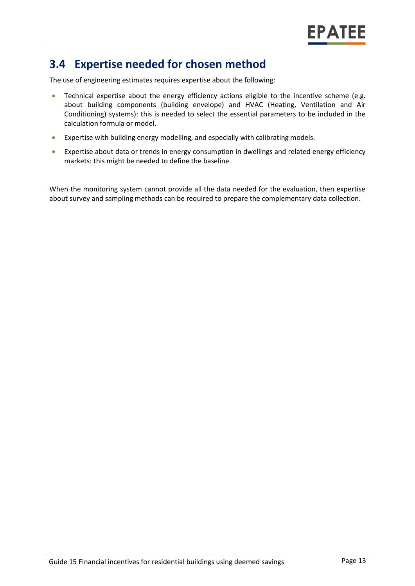## **3.4 Expertise needed for chosen method**

The use of engineering estimates requires expertise about the following:

- Technical expertise about the energy efficiency actions eligible to the incentive scheme (e.g. about building components (building envelope) and HVAC (Heating, Ventilation and Air Conditioning) systems): this is needed to select the essential parameters to be included in the calculation formula or model.
- Expertise with building energy modelling, and especially with calibrating models.
- Expertise about data or trends in energy consumption in dwellings and related energy efficiency markets: this might be needed to define the baseline.

When the monitoring system cannot provide all the data needed for the evaluation, then expertise about survey and sampling methods can be required to prepare the complementary data collection.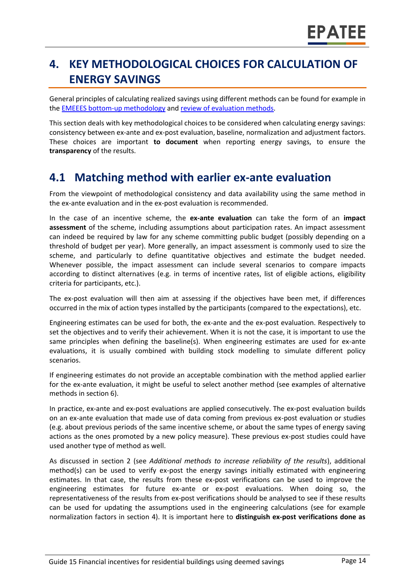# **4. KEY METHODOLOGICAL CHOICES FOR CALCULATION OF ENERGY SAVINGS**

General principles of calculating realized savings using different methods can be found for example in the [EMEEES bottom-up methodology](https://www.epatee-lib.eu/media/docs/D4_EMEEES_Final.pdf) and [review of evaluation methods.](https://www.epatee-lib.eu/media/docs/EMEEES_WP3_Report_Final.pdf)

This section deals with key methodological choices to be considered when calculating energy savings: consistency between ex-ante and ex-post evaluation, baseline, normalization and adjustment factors. These choices are important **to document** when reporting energy savings, to ensure the **transparency** of the results.

## **4.1 Matching method with earlier ex-ante evaluation**

From the viewpoint of methodological consistency and data availability using the same method in the ex-ante evaluation and in the ex-post evaluation is recommended.

In the case of an incentive scheme, the **ex-ante evaluation** can take the form of an **impact assessment** of the scheme, including assumptions about participation rates. An impact assessment can indeed be required by law for any scheme committing public budget (possibly depending on a threshold of budget per year). More generally, an impact assessment is commonly used to size the scheme, and particularly to define quantitative objectives and estimate the budget needed. Whenever possible, the impact assessment can include several scenarios to compare impacts according to distinct alternatives (e.g. in terms of incentive rates, list of eligible actions, eligibility criteria for participants, etc.).

The ex-post evaluation will then aim at assessing if the objectives have been met, if differences occurred in the mix of action types installed by the participants (compared to the expectations), etc.

Engineering estimates can be used for both, the ex-ante and the ex-post evaluation. Respectively to set the objectives and to verify their achievement. When it is not the case, it is important to use the same principles when defining the baseline(s). When engineering estimates are used for ex-ante evaluations, it is usually combined with building stock modelling to simulate different policy scenarios.

If engineering estimates do not provide an acceptable combination with the method applied earlier for the ex-ante evaluation, it might be useful to select another method (see examples of alternative methods in section 6).

In practice, ex-ante and ex-post evaluations are applied consecutively. The ex-post evaluation builds on an ex-ante evaluation that made use of data coming from previous ex-post evaluation or studies (e.g. about previous periods of the same incentive scheme, or about the same types of energy saving actions as the ones promoted by a new policy measure). These previous ex-post studies could have used another type of method as well.

As discussed in section 2 (see *Additional methods to increase reliability of the results*), additional method(s) can be used to verify ex-post the energy savings initially estimated with engineering estimates. In that case, the results from these ex-post verifications can be used to improve the engineering estimates for future ex-ante or ex-post evaluations. When doing so, the representativeness of the results from ex-post verifications should be analysed to see if these results can be used for updating the assumptions used in the engineering calculations (see for example normalization factors in section 4). It is important here to **distinguish ex-post verifications done as**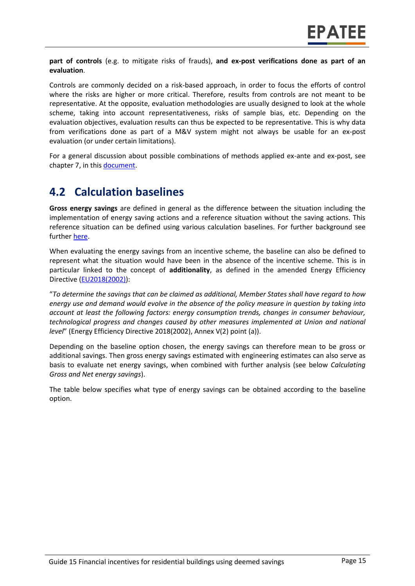**part of controls** (e.g. to mitigate risks of frauds), **and ex-post verifications done as part of an evaluation**.

Controls are commonly decided on a risk-based approach, in order to focus the efforts of control where the risks are higher or more critical. Therefore, results from controls are not meant to be representative. At the opposite, evaluation methodologies are usually designed to look at the whole scheme, taking into account representativeness, risks of sample bias, etc. Depending on the evaluation objectives, evaluation results can thus be expected to be representative. This is why data from verifications done as part of a M&V system might not always be usable for an ex-post evaluation (or under certain limitations).

For a general discussion about possible combinations of methods applied ex-ante and ex-post, see chapter 7, in this [document.](https://www.epatee-toolbox.eu/wp-content/uploads/2019/04/Saving_calculation_methods_for_EPATEE_Toobox_2019_04_24.pdf)

### **4.2 Calculation baselines**

**Gross energy savings** are defined in general as the difference between the situation including the implementation of energy saving actions and a reference situation without the saving actions. This reference situation can be defined using various calculation baselines. For further background see further [here.](https://www.epatee-toolbox.eu/wp-content/uploads/2019/04/Application_of_KB_savings_baselines_and_correction_factors_in_the_Toolbox_and_PSMCs_190418_.pdf)

When evaluating the energy savings from an incentive scheme, the baseline can also be defined to represent what the situation would have been in the absence of the incentive scheme. This is in particular linked to the concept of **additionality**, as defined in the amended Energy Efficiency Directive [\(EU2018\(2002\)\)](https://eur-lex.europa.eu/legal-content/EN/TXT/?uri=uriserv:OJ.L_.2018.328.01.0210.01.ENG&toc=OJ:L:2018:328:TOC):

"*To determine the savings that can be claimed as additional, Member States shall have regard to how energy use and demand would evolve in the absence of the policy measure in question by taking into account at least the following factors: energy consumption trends, changes in consumer behaviour, technological progress and changes caused by other measures implemented at Union and national level*" (Energy Efficiency Directive 2018(2002), Annex V(2) point (a)).

Depending on the baseline option chosen, the energy savings can therefore mean to be gross or additional savings. Then gross energy savings estimated with engineering estimates can also serve as basis to evaluate net energy savings, when combined with further analysis (see below *Calculating Gross and Net energy savings*).

The table below specifies what type of energy savings can be obtained according to the baseline option.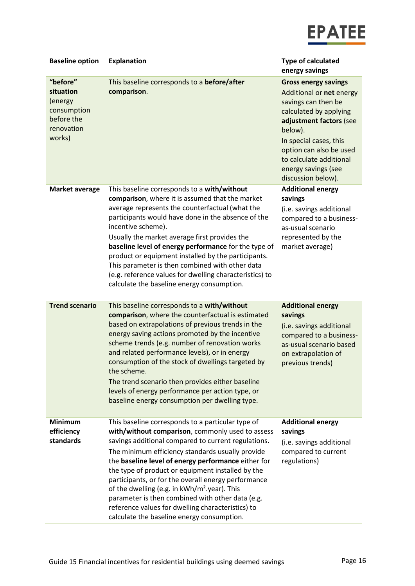

| <b>Baseline option</b>                                                                | <b>Explanation</b>                                                                                                                                                                                                                                                                                                                                                                                                                                                                                                                                                                                     | <b>Type of calculated</b><br>energy savings                                                                                                                                                                                                                                 |
|---------------------------------------------------------------------------------------|--------------------------------------------------------------------------------------------------------------------------------------------------------------------------------------------------------------------------------------------------------------------------------------------------------------------------------------------------------------------------------------------------------------------------------------------------------------------------------------------------------------------------------------------------------------------------------------------------------|-----------------------------------------------------------------------------------------------------------------------------------------------------------------------------------------------------------------------------------------------------------------------------|
| "before"<br>situation<br>(energy<br>consumption<br>before the<br>renovation<br>works) | This baseline corresponds to a before/after<br>comparison.                                                                                                                                                                                                                                                                                                                                                                                                                                                                                                                                             | <b>Gross energy savings</b><br>Additional or net energy<br>savings can then be<br>calculated by applying<br>adjustment factors (see<br>below).<br>In special cases, this<br>option can also be used<br>to calculate additional<br>energy savings (see<br>discussion below). |
| <b>Market average</b>                                                                 | This baseline corresponds to a with/without<br>comparison, where it is assumed that the market<br>average represents the counterfactual (what the<br>participants would have done in the absence of the<br>incentive scheme).<br>Usually the market average first provides the<br>baseline level of energy performance for the type of<br>product or equipment installed by the participants.<br>This parameter is then combined with other data<br>(e.g. reference values for dwelling characteristics) to<br>calculate the baseline energy consumption.                                              | <b>Additional energy</b><br>savings<br>(i.e. savings additional<br>compared to a business-<br>as-usual scenario<br>represented by the<br>market average)                                                                                                                    |
| <b>Trend scenario</b>                                                                 | This baseline corresponds to a with/without<br>comparison, where the counterfactual is estimated<br>based on extrapolations of previous trends in the<br>energy saving actions promoted by the incentive<br>scheme trends (e.g. number of renovation works<br>and related performance levels), or in energy<br>consumption of the stock of dwellings targeted by<br>the scheme.<br>The trend scenario then provides either baseline<br>levels of energy performance per action type, or<br>baseline energy consumption per dwelling type.                                                              | <b>Additional energy</b><br>savings<br>(i.e. savings additional<br>compared to a business-<br>as-usual scenario based<br>on extrapolation of<br>previous trends)                                                                                                            |
| <b>Minimum</b><br>efficiency<br>standards                                             | This baseline corresponds to a particular type of<br>with/without comparison, commonly used to assess<br>savings additional compared to current regulations.<br>The minimum efficiency standards usually provide<br>the baseline level of energy performance either for<br>the type of product or equipment installed by the<br>participants, or for the overall energy performance<br>of the dwelling (e.g. in kWh/m <sup>2</sup> .year). This<br>parameter is then combined with other data (e.g.<br>reference values for dwelling characteristics) to<br>calculate the baseline energy consumption. | <b>Additional energy</b><br>savings<br>(i.e. savings additional<br>compared to current<br>regulations)                                                                                                                                                                      |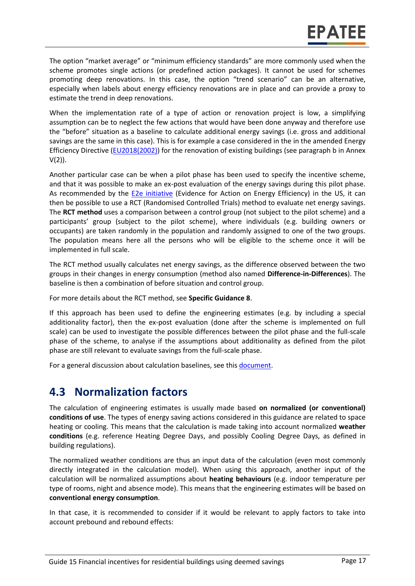The option "market average" or "minimum efficiency standards" are more commonly used when the scheme promotes single actions (or predefined action packages). It cannot be used for schemes promoting deep renovations. In this case, the option "trend scenario" can be an alternative, especially when labels about energy efficiency renovations are in place and can provide a proxy to estimate the trend in deep renovations.

When the implementation rate of a type of action or renovation project is low, a simplifying assumption can be to neglect the few actions that would have been done anyway and therefore use the "before" situation as a baseline to calculate additional energy savings (i.e. gross and additional savings are the same in this case). This is for example a case considered in the in the amended Energy Efficiency Directive [\(EU2018\(2002\)\)](https://eur-lex.europa.eu/legal-content/EN/TXT/?uri=uriserv:OJ.L_.2018.328.01.0210.01.ENG&toc=OJ:L:2018:328:TOC) for the renovation of existing buildings (see paragraph b in Annex  $V(2)$ ).

Another particular case can be when a pilot phase has been used to specify the incentive scheme, and that it was possible to make an ex-post evaluation of the energy savings during this pilot phase. As recommended by the **E2e initiative** (Evidence for Action on Energy Efficiency) in the US, it can then be possible to use a RCT (Randomised Controlled Trials) method to evaluate net energy savings. The **RCT method** uses a comparison between a control group (not subject to the pilot scheme) and a participants' group (subject to the pilot scheme), where individuals (e.g. building owners or occupants) are taken randomly in the population and randomly assigned to one of the two groups. The population means here all the persons who will be eligible to the scheme once it will be implemented in full scale.

The RCT method usually calculates net energy savings, as the difference observed between the two groups in their changes in energy consumption (method also named **Difference-in-Differences**). The baseline is then a combination of before situation and control group.

For more details about the RCT method, see **Specific Guidance 8**.

If this approach has been used to define the engineering estimates (e.g. by including a special additionality factor), then the ex-post evaluation (done after the scheme is implemented on full scale) can be used to investigate the possible differences between the pilot phase and the full-scale phase of the scheme, to analyse if the assumptions about additionality as defined from the pilot phase are still relevant to evaluate savings from the full-scale phase.

For a general discussion about calculation baselines, see this [document.](https://www.epatee-toolbox.eu/wp-content/uploads/2019/04/Application_of_KB_savings_baselines_and_correction_factors_in_the_Toolbox_and_PSMCs_190418_.pdf)

## **4.3 Normalization factors**

The calculation of engineering estimates is usually made based **on normalized (or conventional) conditions of use**. The types of energy saving actions considered in this guidance are related to space heating or cooling. This means that the calculation is made taking into account normalized **weather conditions** (e.g. reference Heating Degree Days, and possibly Cooling Degree Days, as defined in building regulations).

The normalized weather conditions are thus an input data of the calculation (even most commonly directly integrated in the calculation model). When using this approach, another input of the calculation will be normalized assumptions about **heating behaviours** (e.g. indoor temperature per type of rooms, night and absence mode). This means that the engineering estimates will be based on **conventional energy consumption**.

In that case, it is recommended to consider if it would be relevant to apply factors to take into account prebound and rebound effects: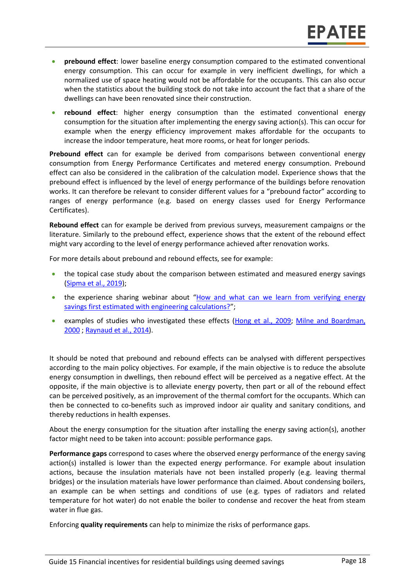- **prebound effect**: lower baseline energy consumption compared to the estimated conventional energy consumption. This can occur for example in very inefficient dwellings, for which a normalized use of space heating would not be affordable for the occupants. This can also occur when the statistics about the building stock do not take into account the fact that a share of the dwellings can have been renovated since their construction.
- **rebound effect**: higher energy consumption than the estimated conventional energy consumption for the situation after implementing the energy saving action(s). This can occur for example when the energy efficiency improvement makes affordable for the occupants to increase the indoor temperature, heat more rooms, or heat for longer periods.

**Prebound effect** can for example be derived from comparisons between conventional energy consumption from Energy Performance Certificates and metered energy consumption. Prebound effect can also be considered in the calibration of the calculation model. Experience shows that the prebound effect is influenced by the level of energy performance of the buildings before renovation works. It can therefore be relevant to consider different values for a "prebound factor" according to ranges of energy performance (e.g. based on energy classes used for Energy Performance Certificates).

**Rebound effect** can for example be derived from previous surveys, measurement campaigns or the literature. Similarly to the prebound effect, experience shows that the extent of the rebound effect might vary according to the level of energy performance achieved after renovation works.

For more details about prebound and rebound effects, see for example:

- the topical case study about the comparison between estimated and measured energy savings [\(Sipma et al., 2019\)](https://www.epatee-toolbox.eu/evaluation-principles-and-methods/epatee-topical-case-study-comparing-estimated-versus-measured-energy-savings/);
- the experience sharing webinar about "How and what can we learn from verifying energy [savings first estimated with engineering calculations?](https://epatee.eu/events/webinar-4-how-and-what-can-we-learn-verifying-energy-savings-first-estimated-engineering)";
- examples of studies who investigated these effects (Hong [et al., 2009;](http://discovery.ucl.ac.uk/15210/1/15210.pdf) Milne and Boardman, [2000](https://www.sciencedirect.com/science/article/pii/S0301421500000197) [; Raynaud et al., 2014\)](https://energy-evaluation.org/wp-content/uploads/2019/06/2014-berlin-maxime-raynaud.pdf).

It should be noted that prebound and rebound effects can be analysed with different perspectives according to the main policy objectives. For example, if the main objective is to reduce the absolute energy consumption in dwellings, then rebound effect will be perceived as a negative effect. At the opposite, if the main objective is to alleviate energy poverty, then part or all of the rebound effect can be perceived positively, as an improvement of the thermal comfort for the occupants. Which can then be connected to co-benefits such as improved indoor air quality and sanitary conditions, and thereby reductions in health expenses.

About the energy consumption for the situation after installing the energy saving action(s), another factor might need to be taken into account: possible performance gaps.

**Performance gaps** correspond to cases where the observed energy performance of the energy saving action(s) installed is lower than the expected energy performance. For example about insulation actions, because the insulation materials have not been installed properly (e.g. leaving thermal bridges) or the insulation materials have lower performance than claimed. About condensing boilers, an example can be when settings and conditions of use (e.g. types of radiators and related temperature for hot water) do not enable the boiler to condense and recover the heat from steam water in flue gas.

Enforcing **quality requirements** can help to minimize the risks of performance gaps.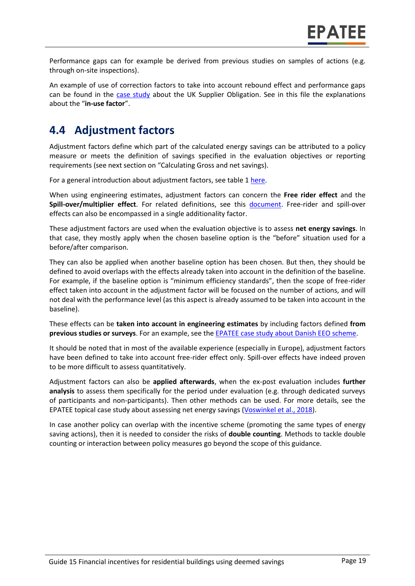Performance gaps can for example be derived from previous studies on samples of actions (e.g. through on-site inspections).

An example of use of correction factors to take into account rebound effect and performance gaps can be found in the [case study](https://epatee.eu/system/tdf/epatee_case_study_uk_supplier_obligations_ok_0.pdf?file=1&type=node&id=82) about the UK Supplier Obligation. See in this file the explanations about the "**in-use factor**".

## **4.4 Adjustment factors**

Adjustment factors define which part of the calculated energy savings can be attributed to a policy measure or meets the definition of savings specified in the evaluation objectives or reporting requirements (see next section on "Calculating Gross and net savings).

For a general introduction about adjustment factors, see table 1 [here.](https://www.epatee-toolbox.eu/wp-content/uploads/2019/04/Saving_calculation_methods_for_EPATEE_Toobox_2019_04_24.pdf)

When using engineering estimates, adjustment factors can concern the **Free rider effect** and the **Spill-over/multiplier effect**. For related definitions, see this [document.](https://www.epatee-toolbox.eu/wp-content/uploads/2018/10/Definitions-and-typologies-related-to-energy-savings-evaluation.pdf) Free-rider and spill-over effects can also be encompassed in a single additionality factor.

These adjustment factors are used when the evaluation objective is to assess **net energy savings**. In that case, they mostly apply when the chosen baseline option is the "before" situation used for a before/after comparison.

They can also be applied when another baseline option has been chosen. But then, they should be defined to avoid overlaps with the effects already taken into account in the definition of the baseline. For example, if the baseline option is "minimum efficiency standards", then the scope of free-rider effect taken into account in the adjustment factor will be focused on the number of actions, and will not deal with the performance level (as this aspect is already assumed to be taken into account in the baseline).

These effects can be **taken into account in engineering estimates** by including factors defined **from previous studies or surveys**. For an example, see the [EPATEE case study about Danish EEO scheme.](https://www.epatee-toolbox.eu/wp-content/uploads/2018/10/epatee_case_study_denmark_eeo_scheme_ok.pdf)

It should be noted that in most of the available experience (especially in Europe), adjustment factors have been defined to take into account free-rider effect only. Spill-over effects have indeed proven to be more difficult to assess quantitatively.

Adjustment factors can also be **applied afterwards**, when the ex-post evaluation includes **further analysis** to assess them specifically for the period under evaluation (e.g. through dedicated surveys of participants and non-participants). Then other methods can be used. For more details, see the EPATEE topical case study about assessing net energy savings (Voswinkel [et al., 2018\)](https://www.epatee-toolbox.eu/?page_id=416).

In case another policy can overlap with the incentive scheme (promoting the same types of energy saving actions), then it is needed to consider the risks of **double counting**. Methods to tackle double counting or interaction between policy measures go beyond the scope of this guidance.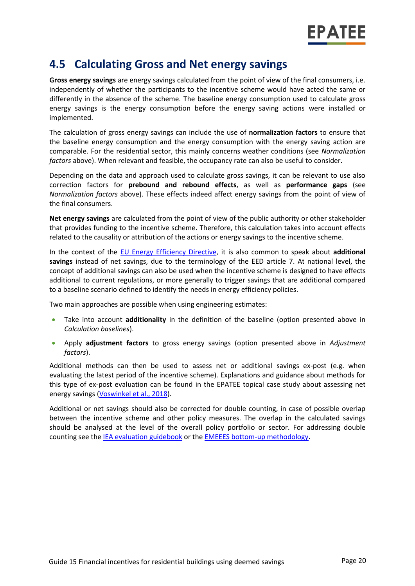### **4.5 Calculating Gross and Net energy savings**

**Gross energy savings** are energy savings calculated from the point of view of the final consumers, i.e. independently of whether the participants to the incentive scheme would have acted the same or differently in the absence of the scheme. The baseline energy consumption used to calculate gross energy savings is the energy consumption before the energy saving actions were installed or implemented.

The calculation of gross energy savings can include the use of **normalization factors** to ensure that the baseline energy consumption and the energy consumption with the energy saving action are comparable. For the residential sector, this mainly concerns weather conditions (see *Normalization factors* above). When relevant and feasible, the occupancy rate can also be useful to consider.

Depending on the data and approach used to calculate gross savings, it can be relevant to use also correction factors for **prebound and rebound effects**, as well as **performance gaps** (see *Normalization factors* above). These effects indeed affect energy savings from the point of view of the final consumers.

**Net energy savings** are calculated from the point of view of the public authority or other stakeholder that provides funding to the incentive scheme. Therefore, this calculation takes into account effects related to the causality or attribution of the actions or energy savings to the incentive scheme.

In the context of the [EU Energy Efficiency Directive,](https://eur-lex.europa.eu/legal-content/EN/TXT/?uri=CELEX:02012L0027-20190612) it is also common to speak about **additional savings** instead of net savings, due to the terminology of the EED article 7. At national level, the concept of additional savings can also be used when the incentive scheme is designed to have effects additional to current regulations, or more generally to trigger savings that are additional compared to a baseline scenario defined to identify the needs in energy efficiency policies.

Two main approaches are possible when using engineering estimates:

- Take into account **additionality** in the definition of the baseline (option presented above in *Calculation baselines*).
- Apply **adjustment factors** to gross energy savings (option presented above in *Adjustment factors*).

Additional methods can then be used to assess net or additional savings ex-post (e.g. when evaluating the latest period of the incentive scheme). Explanations and guidance about methods for this type of ex-post evaluation can be found in the EPATEE topical case study about assessing net energy savings (Voswinkel [et al., 2018\)](https://www.epatee-toolbox.eu/?page_id=416).

Additional or net savings should also be corrected for double counting, in case of possible overlap between the incentive scheme and other policy measures. The overlap in the calculated savings should be analysed at the level of the overall policy portfolio or sector. For addressing double counting see th[e IEA evaluation guidebook](http://www.ieadsm.org/wp/files/Exco%20File%20Library/Key%20Publications/Volume1Total.pdf) or th[e EMEEES bottom-up methodology.](https://www.epatee-lib.eu/media/docs/D4_EMEEES_Final.pdf)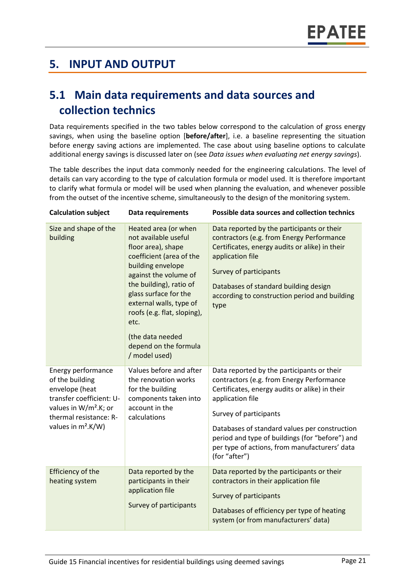## **5. INPUT AND OUTPUT**

## **5.1 Main data requirements and data sources and collection technics**

Data requirements specified in the two tables below correspond to the calculation of gross energy savings, when using the baseline option [**before/after**], i.e. a baseline representing the situation before energy saving actions are implemented. The case about using baseline options to calculate additional energy savings is discussed later on (see *Data issues when evaluating net energy savings*).

The table describes the input data commonly needed for the engineering calculations. The level of details can vary according to the type of calculation formula or model used. It is therefore important to clarify what formula or model will be used when planning the evaluation, and whenever possible from the outset of the incentive scheme, simultaneously to the design of the monitoring system.

| <b>Calculation subject</b>                                                                                                                                                  | <b>Data requirements</b>                                                                                                                                                                                                                                                                                                         | <b>Possible data sources and collection technics</b>                                                                                                                                                                                                                                                                                                          |
|-----------------------------------------------------------------------------------------------------------------------------------------------------------------------------|----------------------------------------------------------------------------------------------------------------------------------------------------------------------------------------------------------------------------------------------------------------------------------------------------------------------------------|---------------------------------------------------------------------------------------------------------------------------------------------------------------------------------------------------------------------------------------------------------------------------------------------------------------------------------------------------------------|
| Size and shape of the<br>building                                                                                                                                           | Heated area (or when<br>not available useful<br>floor area), shape<br>coefficient (area of the<br>building envelope<br>against the volume of<br>the building), ratio of<br>glass surface for the<br>external walls, type of<br>roofs (e.g. flat, sloping),<br>etc.<br>(the data needed<br>depend on the formula<br>/ model used) | Data reported by the participants or their<br>contractors (e.g. from Energy Performance<br>Certificates, energy audits or alike) in their<br>application file<br>Survey of participants<br>Databases of standard building design<br>according to construction period and building<br>type                                                                     |
| Energy performance<br>of the building<br>envelope (heat<br>transfer coefficient: U-<br>values in W/m <sup>2</sup> .K; or<br>thermal resistance: R-<br>values in $m^2.K/W$ ) | Values before and after<br>the renovation works<br>for the building<br>components taken into<br>account in the<br>calculations                                                                                                                                                                                                   | Data reported by the participants or their<br>contractors (e.g. from Energy Performance<br>Certificates, energy audits or alike) in their<br>application file<br>Survey of participants<br>Databases of standard values per construction<br>period and type of buildings (for "before") and<br>per type of actions, from manufacturers' data<br>(for "after") |
| <b>Efficiency of the</b><br>heating system                                                                                                                                  | Data reported by the<br>participants in their<br>application file<br>Survey of participants                                                                                                                                                                                                                                      | Data reported by the participants or their<br>contractors in their application file<br>Survey of participants<br>Databases of efficiency per type of heating<br>system (or from manufacturers' data)                                                                                                                                                          |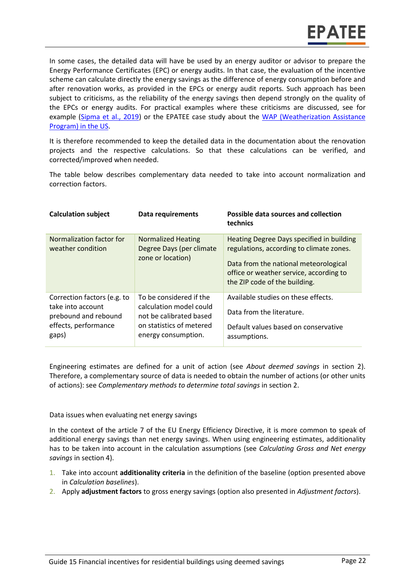In some cases, the detailed data will have be used by an energy auditor or advisor to prepare the Energy Performance Certificates (EPC) or energy audits. In that case, the evaluation of the incentive scheme can calculate directly the energy savings as the difference of energy consumption before and after renovation works, as provided in the EPCs or energy audit reports. Such approach has been subject to criticisms, as the reliability of the energy savings then depend strongly on the quality of the EPCs or energy audits. For practical examples where these criticisms are discussed, see for example [\(Sipma et al., 2019\)](https://www.epatee-toolbox.eu/evaluation-principles-and-methods/epatee-topical-case-study-comparing-estimated-versus-measured-energy-savings/) or the EPATEE case study about the [WAP \(Weatherization Assistance](https://epatee.eu/system/tdf/epatee_case_study_us_weatherization_assistance_program_ok_0.pdf?file=1&type=node&id=85)  [Program\) in the US.](https://epatee.eu/system/tdf/epatee_case_study_us_weatherization_assistance_program_ok_0.pdf?file=1&type=node&id=85)

It is therefore recommended to keep the detailed data in the documentation about the renovation projects and the respective calculations. So that these calculations can be verified, and corrected/improved when needed.

The table below describes complementary data needed to take into account normalization and correction factors.

| <b>Calculation subject</b>                                                                                | Data requirements                                                                                                                | Possible data sources and collection<br>technics                                                                                                                                                           |
|-----------------------------------------------------------------------------------------------------------|----------------------------------------------------------------------------------------------------------------------------------|------------------------------------------------------------------------------------------------------------------------------------------------------------------------------------------------------------|
| Normalization factor for<br>weather condition                                                             | <b>Normalized Heating</b><br>Degree Days (per climate<br>zone or location)                                                       | Heating Degree Days specified in building<br>regulations, according to climate zones.<br>Data from the national meteorological<br>office or weather service, according to<br>the ZIP code of the building. |
| Correction factors (e.g. to<br>take into account<br>prebound and rebound<br>effects, performance<br>gaps) | To be considered if the<br>calculation model could<br>not be calibrated based<br>on statistics of metered<br>energy consumption. | Available studies on these effects.<br>Data from the literature.<br>Default values based on conservative<br>assumptions.                                                                                   |

Engineering estimates are defined for a unit of action (see *About deemed savings* in section 2). Therefore, a complementary source of data is needed to obtain the number of actions (or other units of actions): see *Complementary methods to determine total savings* in section 2.

Data issues when evaluating net energy savings

In the context of the article 7 of the EU Energy Efficiency Directive, it is more common to speak of additional energy savings than net energy savings. When using engineering estimates, additionality has to be taken into account in the calculation assumptions (see *Calculating Gross and Net energy savings* in section 4).

- 1. Take into account **additionality criteria** in the definition of the baseline (option presented above in *Calculation baselines*).
- 2. Apply **adjustment factors** to gross energy savings (option also presented in *Adjustment factors*).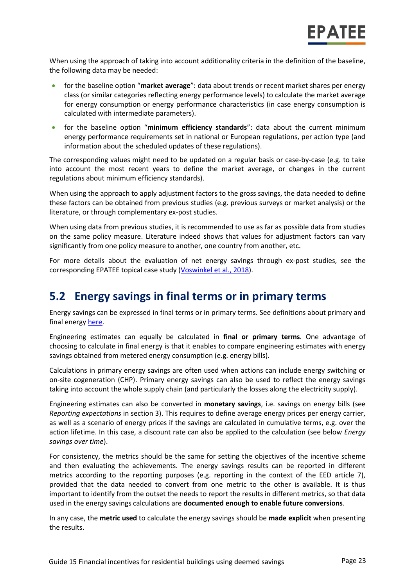When using the approach of taking into account additionality criteria in the definition of the baseline, the following data may be needed:

- for the baseline option "**market average**": data about trends or recent market shares per energy class (or similar categories reflecting energy performance levels) to calculate the market average for energy consumption or energy performance characteristics (in case energy consumption is calculated with intermediate parameters).
- for the baseline option "**minimum efficiency standards**": data about the current minimum energy performance requirements set in national or European regulations, per action type (and information about the scheduled updates of these regulations).

The corresponding values might need to be updated on a regular basis or case-by-case (e.g. to take into account the most recent years to define the market average, or changes in the current regulations about minimum efficiency standards).

When using the approach to apply adjustment factors to the gross savings, the data needed to define these factors can be obtained from previous studies (e.g. previous surveys or market analysis) or the literature, or through complementary ex-post studies.

When using data from previous studies, it is recommended to use as far as possible data from studies on the same policy measure. Literature indeed shows that values for adjustment factors can vary significantly from one policy measure to another, one country from another, etc.

For more details about the evaluation of net energy savings through ex-post studies, see the corresponding EPATEE topical case study (Voswinkel [et al., 2018\)](https://www.epatee-toolbox.eu/?page_id=416).

## **5.2 Energy savings in final terms or in primary terms**

Energy savings can be expressed in final terms or in primary terms. See definitions about primary and final energy [here.](https://www.epatee-toolbox.eu/wp-content/uploads/2018/10/Definitions-and-typologies-related-to-energy-savings-evaluation.pdf)

Engineering estimates can equally be calculated in **final or primary terms**. One advantage of choosing to calculate in final energy is that it enables to compare engineering estimates with energy savings obtained from metered energy consumption (e.g. energy bills).

Calculations in primary energy savings are often used when actions can include energy switching or on-site cogeneration (CHP). Primary energy savings can also be used to reflect the energy savings taking into account the whole supply chain (and particularly the losses along the electricity supply).

Engineering estimates can also be converted in **monetary savings**, i.e. savings on energy bills (see *Reporting expectations* in section 3). This requires to define average energy prices per energy carrier, as well as a scenario of energy prices if the savings are calculated in cumulative terms, e.g. over the action lifetime. In this case, a discount rate can also be applied to the calculation (see below *Energy savings over time*).

For consistency, the metrics should be the same for setting the objectives of the incentive scheme and then evaluating the achievements. The energy savings results can be reported in different metrics according to the reporting purposes (e.g. reporting in the context of the EED article 7), provided that the data needed to convert from one metric to the other is available. It is thus important to identify from the outset the needs to report the results in different metrics, so that data used in the energy savings calculations are **documented enough to enable future conversions**.

In any case, the **metric used** to calculate the energy savings should be **made explicit** when presenting the results.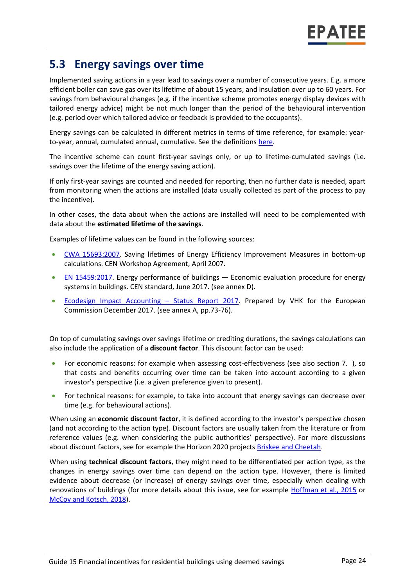## **5.3 Energy savings over time**

Implemented saving actions in a year lead to savings over a number of consecutive years. E.g. a more efficient boiler can save gas over its lifetime of about 15 years, and insulation over up to 60 years. For savings from behavioural changes (e.g. if the incentive scheme promotes energy display devices with tailored energy advice) might be not much longer than the period of the behavioural intervention (e.g. period over which tailored advice or feedback is provided to the occupants).

Energy savings can be calculated in different metrics in terms of time reference, for example: yearto-year, annual, cumulated annual, cumulative. See the definition[s here.](https://www.epatee-toolbox.eu/wp-content/uploads/2018/10/Definitions-and-typologies-related-to-energy-savings-evaluation.pdf)

The incentive scheme can count first-year savings only, or up to lifetime-cumulated savings (i.e. savings over the lifetime of the energy saving action).

If only first-year savings are counted and needed for reporting, then no further data is needed, apart from monitoring when the actions are installed (data usually collected as part of the process to pay the incentive).

In other cases, the data about when the actions are installed will need to be complemented with data about the **estimated lifetime of the savings**.

Examples of lifetime values can be found in the following sources:

- [CWA 15693:2007.](https://energie.wallonie.be/servlet/Repository/CWA_27_final_draft_.PDF?IDR=7973) Saving lifetimes of Energy Efficiency Improvement Measures in bottom-up calculations. CEN Workshop Agreement, April 2007.
- [EN 15459:2017.](http://www.cres.gr/greenbuilding/PDF/prend/set4/WI_29_TC-approval_version_prEN_15459_Data_requirements.pdf) Energy performance of buildings Economic evaluation procedure for energy systems in buildings. CEN standard, June 2017. (see annex D).
- [Ecodesign Impact Accounting](https://ec.europa.eu/energy/en/studies/ecodesign-impact-accounting-0)  Status Report 2017. Prepared by VHK for the European Commission December 2017. (see annex A, pp.73-76).

On top of cumulating savings over savings lifetime or crediting durations, the savings calculations can also include the application of a **discount factor**. This discount factor can be used:

- For economic reasons: for example when assessing cost-effectiveness (see also section [7. \)](#page-28-0), so that costs and benefits occurring over time can be taken into account according to a given investor's perspective (i.e. a given preference given to present).
- For technical reasons: for example, to take into account that energy savings can decrease over time (e.g. for behavioural actions).

When using an **economic discount factor**, it is defined according to the investor's perspective chosen (and not according to the action type). Discount factors are usually taken from the literature or from reference values (e.g. when considering the public authorities' perspective). For more discussions about discount factors, see for example the Horizon 2020 project[s Briskee and Cheetah.](https://www.briskee-cheetah.eu/)

When using **technical discount factors**, they might need to be differentiated per action type, as the changes in energy savings over time can depend on the action type. However, there is limited evidence about decrease (or increase) of energy savings over time, especially when dealing with renovations of buildings (for more details about this issue, see for example [Hoffman et al., 2015](https://emp.lbl.gov/publications/energy-savings-lifetimes-and) or [McCoy and Kotsch, 2018\)](http://www.lse.ac.uk/GranthamInstitute/wp-content/uploads/2018/11/working-paper-306-McCoy-Kotsch.pdf).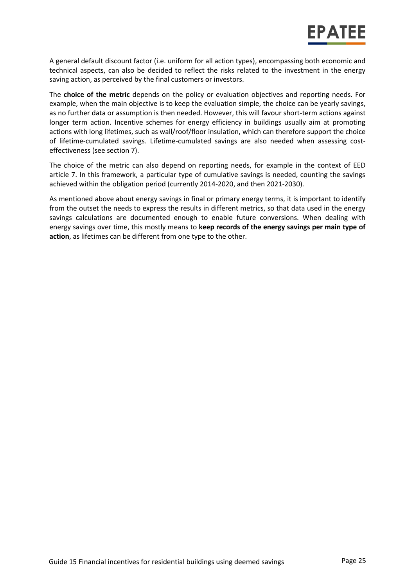A general default discount factor (i.e. uniform for all action types), encompassing both economic and technical aspects, can also be decided to reflect the risks related to the investment in the energy saving action, as perceived by the final customers or investors.

The **choice of the metric** depends on the policy or evaluation objectives and reporting needs. For example, when the main objective is to keep the evaluation simple, the choice can be yearly savings, as no further data or assumption is then needed. However, this will favour short-term actions against longer term action. Incentive schemes for energy efficiency in buildings usually aim at promoting actions with long lifetimes, such as wall/roof/floor insulation, which can therefore support the choice of lifetime-cumulated savings. Lifetime-cumulated savings are also needed when assessing costeffectiveness (see section 7).

The choice of the metric can also depend on reporting needs, for example in the context of EED article 7. In this framework, a particular type of cumulative savings is needed, counting the savings achieved within the obligation period (currently 2014-2020, and then 2021-2030).

As mentioned above about energy savings in final or primary energy terms, it is important to identify from the outset the needs to express the results in different metrics, so that data used in the energy savings calculations are documented enough to enable future conversions. When dealing with energy savings over time, this mostly means to **keep records of the energy savings per main type of action**, as lifetimes can be different from one type to the other.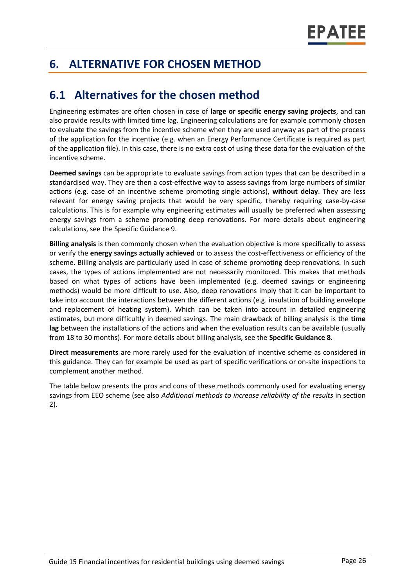## **6. ALTERNATIVE FOR CHOSEN METHOD**

## **6.1 Alternatives for the chosen method**

Engineering estimates are often chosen in case of **large or specific energy saving projects**, and can also provide results with limited time lag. Engineering calculations are for example commonly chosen to evaluate the savings from the incentive scheme when they are used anyway as part of the process of the application for the incentive (e.g. when an Energy Performance Certificate is required as part of the application file). In this case, there is no extra cost of using these data for the evaluation of the incentive scheme.

**Deemed savings** can be appropriate to evaluate savings from action types that can be described in a standardised way. They are then a cost-effective way to assess savings from large numbers of similar actions (e.g. case of an incentive scheme promoting single actions), **without delay**. They are less relevant for energy saving projects that would be very specific, thereby requiring case-by-case calculations. This is for example why engineering estimates will usually be preferred when assessing energy savings from a scheme promoting deep renovations. For more details about engineering calculations, see the Specific Guidance 9.

**Billing analysis** is then commonly chosen when the evaluation objective is more specifically to assess or verify the **energy savings actually achieved** or to assess the cost-effectiveness or efficiency of the scheme. Billing analysis are particularly used in case of scheme promoting deep renovations. In such cases, the types of actions implemented are not necessarily monitored. This makes that methods based on what types of actions have been implemented (e.g. deemed savings or engineering methods) would be more difficult to use. Also, deep renovations imply that it can be important to take into account the interactions between the different actions (e.g. insulation of building envelope and replacement of heating system). Which can be taken into account in detailed engineering estimates, but more difficultly in deemed savings. The main drawback of billing analysis is the **time lag** between the installations of the actions and when the evaluation results can be available (usually from 18 to 30 months). For more details about billing analysis, see the **Specific Guidance 8**.

**Direct measurements** are more rarely used for the evaluation of incentive scheme as considered in this guidance. They can for example be used as part of specific verifications or on-site inspections to complement another method.

The table below presents the pros and cons of these methods commonly used for evaluating energy savings from EEO scheme (see also *Additional methods to increase reliability of the results* in section 2).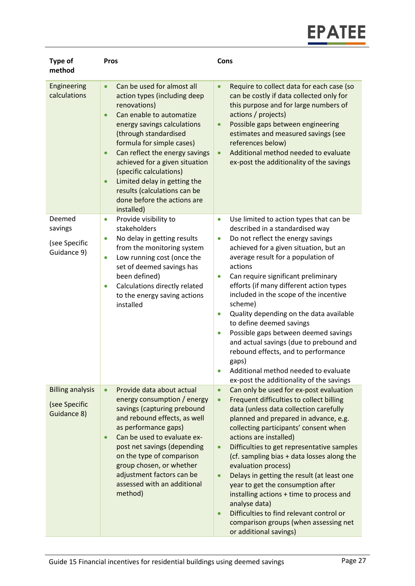| Type of<br>method                                       | <b>Pros</b>                                                                                                                                                                                                                                                                                                                                                                                                                                                 | Cons                                                                                                                                                                                                                                                                                                                                                                                                                                                                                                                                                                                                                                                                                                                          |
|---------------------------------------------------------|-------------------------------------------------------------------------------------------------------------------------------------------------------------------------------------------------------------------------------------------------------------------------------------------------------------------------------------------------------------------------------------------------------------------------------------------------------------|-------------------------------------------------------------------------------------------------------------------------------------------------------------------------------------------------------------------------------------------------------------------------------------------------------------------------------------------------------------------------------------------------------------------------------------------------------------------------------------------------------------------------------------------------------------------------------------------------------------------------------------------------------------------------------------------------------------------------------|
| Engineering<br>calculations                             | Can be used for almost all<br>$\bullet$<br>action types (including deep<br>renovations)<br>Can enable to automatize<br>$\bullet$<br>energy savings calculations<br>(through standardised<br>formula for simple cases)<br>Can reflect the energy savings<br>$\bullet$<br>achieved for a given situation<br>(specific calculations)<br>Limited delay in getting the<br>$\bullet$<br>results (calculations can be<br>done before the actions are<br>installed) | Require to collect data for each case (so<br>$\bullet$<br>can be costly if data collected only for<br>this purpose and for large numbers of<br>actions / projects)<br>Possible gaps between engineering<br>$\bullet$<br>estimates and measured savings (see<br>references below)<br>Additional method needed to evaluate<br>$\bullet$<br>ex-post the additionality of the savings                                                                                                                                                                                                                                                                                                                                             |
| Deemed<br>savings<br>(see Specific<br>Guidance 9)       | Provide visibility to<br>$\bullet$<br>stakeholders<br>No delay in getting results<br>$\bullet$<br>from the monitoring system<br>Low running cost (once the<br>$\bullet$<br>set of deemed savings has<br>been defined)<br>Calculations directly related<br>$\bullet$<br>to the energy saving actions<br>installed                                                                                                                                            | Use limited to action types that can be<br>$\bullet$<br>described in a standardised way<br>Do not reflect the energy savings<br>$\bullet$<br>achieved for a given situation, but an<br>average result for a population of<br>actions<br>Can require significant preliminary<br>$\bullet$<br>efforts (if many different action types<br>included in the scope of the incentive<br>scheme)<br>Quality depending on the data available<br>$\bullet$<br>to define deemed savings<br>Possible gaps between deemed savings<br>$\bullet$<br>and actual savings (due to prebound and<br>rebound effects, and to performance<br>gaps)<br>Additional method needed to evaluate<br>$\bullet$<br>ex-post the additionality of the savings |
| <b>Billing analysis</b><br>(see Specific<br>Guidance 8) | Provide data about actual<br>$\bullet$<br>energy consumption / energy<br>savings (capturing prebound<br>and rebound effects, as well<br>as performance gaps)<br>Can be used to evaluate ex-<br>$\bullet$<br>post net savings (depending<br>on the type of comparison<br>group chosen, or whether<br>adjustment factors can be<br>assessed with an additional<br>method)                                                                                     | Can only be used for ex-post evaluation<br>$\bullet$<br>Frequent difficulties to collect billing<br>$\bullet$<br>data (unless data collection carefully<br>planned and prepared in advance, e.g.<br>collecting participants' consent when<br>actions are installed)<br>Difficulties to get representative samples<br>$\bullet$<br>(cf. sampling bias + data losses along the<br>evaluation process)<br>Delays in getting the result (at least one<br>year to get the consumption after<br>installing actions + time to process and<br>analyse data)<br>Difficulties to find relevant control or<br>comparison groups (when assessing net<br>or additional savings)                                                            |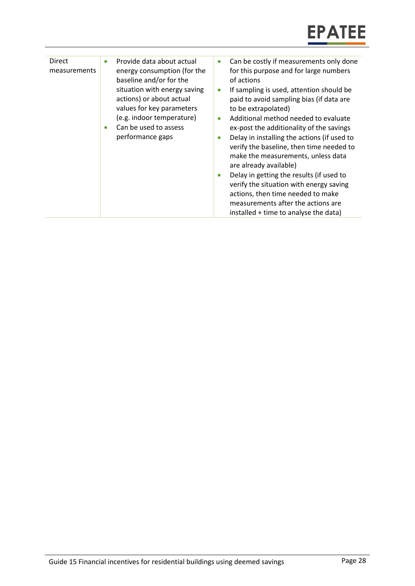| Direct<br>measurements | Provide data about actual<br>energy consumption (for the<br>baseline and/or for the<br>situation with energy saving<br>actions) or about actual<br>values for key parameters<br>(e.g. indoor temperature)<br>Can be used to assess | Can be costly if measurements only done<br>for this purpose and for large numbers<br>of actions<br>If sampling is used, attention should be<br>$\bullet$<br>paid to avoid sampling bias (if data are<br>to be extrapolated)<br>Additional method needed to evaluate<br>ex-post the additionality of the savings                                                    |
|------------------------|------------------------------------------------------------------------------------------------------------------------------------------------------------------------------------------------------------------------------------|--------------------------------------------------------------------------------------------------------------------------------------------------------------------------------------------------------------------------------------------------------------------------------------------------------------------------------------------------------------------|
|                        | performance gaps                                                                                                                                                                                                                   | Delay in installing the actions (if used to<br>verify the baseline, then time needed to<br>make the measurements, unless data<br>are already available)<br>Delay in getting the results (if used to<br>verify the situation with energy saving<br>actions, then time needed to make<br>measurements after the actions are<br>installed + time to analyse the data) |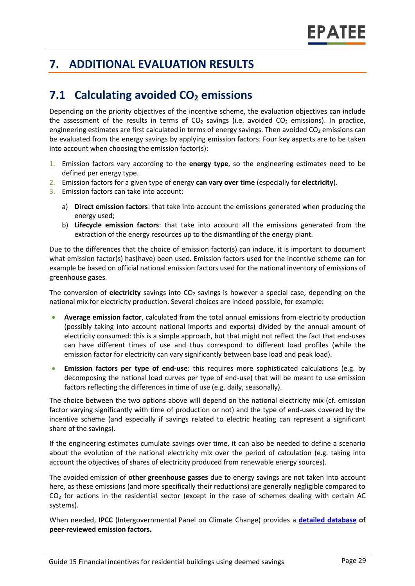## <span id="page-28-0"></span>**7. ADDITIONAL EVALUATION RESULTS**

## **7.1 Calculating avoided CO<sup>2</sup> emissions**

Depending on the priority objectives of the incentive scheme, the evaluation objectives can include the assessment of the results in terms of  $CO<sub>2</sub>$  savings (i.e. avoided  $CO<sub>2</sub>$  emissions). In practice, engineering estimates are first calculated in terms of energy savings. Then avoided  $CO<sub>2</sub>$  emissions can be evaluated from the energy savings by applying emission factors. Four key aspects are to be taken into account when choosing the emission factor(s):

- 1. Emission factors vary according to the **energy type**, so the engineering estimates need to be defined per energy type.
- 2. Emission factors for a given type of energy **can vary over time** (especially for **electricity**).
- 3. Emission factors can take into account:
	- a) **Direct emission factors**: that take into account the emissions generated when producing the energy used;
	- b) **Lifecycle emission factors**: that take into account all the emissions generated from the extraction of the energy resources up to the dismantling of the energy plant.

Due to the differences that the choice of emission factor(s) can induce, it is important to document what emission factor(s) has(have) been used. Emission factors used for the incentive scheme can for example be based on official national emission factors used for the national inventory of emissions of greenhouse gases.

The conversion of **electricity** savings into CO<sub>2</sub> savings is however a special case, depending on the national mix for electricity production. Several choices are indeed possible, for example:

- **Average emission factor**, calculated from the total annual emissions from electricity production (possibly taking into account national imports and exports) divided by the annual amount of electricity consumed: this is a simple approach, but that might not reflect the fact that end-uses can have different times of use and thus correspond to different load profiles (while the emission factor for electricity can vary significantly between base load and peak load).
- **Emission factors per type of end-use**: this requires more sophisticated calculations (e.g. by decomposing the national load curves per type of end-use) that will be meant to use emission factors reflecting the differences in time of use (e.g. daily, seasonally).

The choice between the two options above will depend on the national electricity mix (cf. emission factor varying significantly with time of production or not) and the type of end-uses covered by the incentive scheme (and especially if savings related to electric heating can represent a significant share of the savings).

If the engineering estimates cumulate savings over time, it can also be needed to define a scenario about the evolution of the national electricity mix over the period of calculation (e.g. taking into account the objectives of shares of electricity produced from renewable energy sources).

The avoided emission of **other greenhouse gasses** due to energy savings are not taken into account here, as these emissions (and more specifically their reductions) are generally negligible compared to  $CO<sub>2</sub>$  for actions in the residential sector (except in the case of schemes dealing with certain AC systems).

When needed, **IPCC** (Intergovernmental Panel on Climate Change) provides a **[detailed database](https://www.ipcc-nggip.iges.or.jp/EFDB/main.php) of peer-reviewed emission factors.**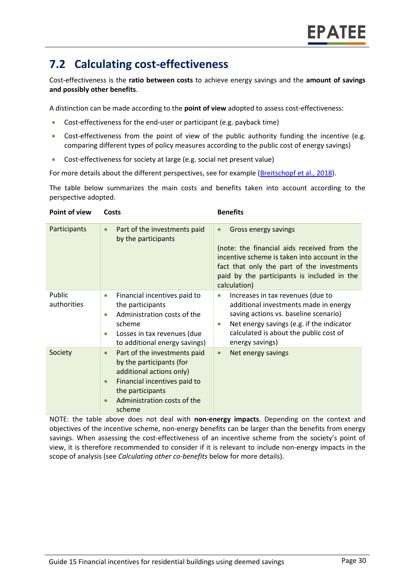## **7.2 Calculating cost-effectiveness**

Cost-effectiveness is the **ratio between costs** to achieve energy savings and the **amount of savings and possibly other benefits**.

A distinction can be made according to the **point of view** adopted to assess cost-effectiveness:

- Cost-effectiveness for the end-user or participant (e.g. payback time)
- Cost-effectiveness from the point of view of the public authority funding the incentive (e.g. comparing different types of policy measures according to the public cost of energy savings)
- Cost-effectiveness for society at large (e.g. social net present value)

For more details about the different perspectives, see for example [\(Breitschopf](https://epatee.eu/system/tdf/epatee_report_on_the_knowledge_base.pdf?file=1&type=node&id=29&force=1) et al., 2018).

The table below summarizes the main costs and benefits taken into account according to the perspective adopted.

| Point of view         | Costs                                                                                                                                                                                          | <b>Benefits</b>                                                                                                                                                                                                                            |
|-----------------------|------------------------------------------------------------------------------------------------------------------------------------------------------------------------------------------------|--------------------------------------------------------------------------------------------------------------------------------------------------------------------------------------------------------------------------------------------|
| Participants          | Part of the investments paid<br>$\bullet$<br>by the participants                                                                                                                               | Gross energy savings<br>(note: the financial aids received from the<br>incentive scheme is taken into account in the<br>fact that only the part of the investments<br>paid by the participants is included in the<br>calculation)          |
| Public<br>authorities | Financial incentives paid to<br>the participants<br>Administration costs of the<br>$\bullet$<br>scheme<br>Losses in tax revenues (due<br>to additional energy savings)                         | Increases in tax revenues (due to<br>additional investments made in energy<br>saving actions vs. baseline scenario)<br>Net energy savings (e.g. if the indicator<br>$\bullet$<br>calculated is about the public cost of<br>energy savings) |
| Society               | Part of the investments paid<br>$\bullet$<br>by the participants (for<br>additional actions only)<br>Financial incentives paid to<br>the participants<br>Administration costs of the<br>scheme | Net energy savings<br>$\bullet$                                                                                                                                                                                                            |

NOTE: the table above does not deal with **non-energy impacts**. Depending on the context and objectives of the incentive scheme, non-energy benefits can be larger than the benefits from energy savings. When assessing the cost-effectiveness of an incentive scheme from the society's point of view, it is therefore recommended to consider if it is relevant to include non-energy impacts in the scope of analysis (see *Calculating other co-benefits* below for more details).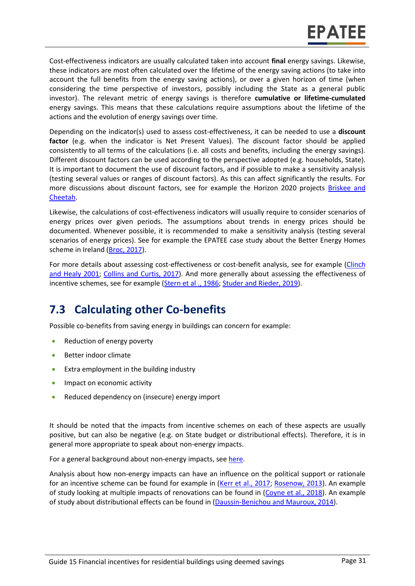Cost-effectiveness indicators are usually calculated taken into account **final** energy savings. Likewise, these indicators are most often calculated over the lifetime of the energy saving actions (to take into account the full benefits from the energy saving actions), or over a given horizon of time (when considering the time perspective of investors, possibly including the State as a general public investor). The relevant metric of energy savings is therefore **cumulative or lifetime-cumulated** energy savings. This means that these calculations require assumptions about the lifetime of the actions and the evolution of energy savings over time.

Depending on the indicator(s) used to assess cost-effectiveness, it can be needed to use a **discount factor** (e.g. when the indicator is Net Present Values). The discount factor should be applied consistently to all terms of the calculations (i.e. all costs and benefits, including the energy savings). Different discount factors can be used according to the perspective adopted (e.g. households, State). It is important to document the use of discount factors, and if possible to make a sensitivity analysis (testing several values or ranges of discount factors). As this can affect significantly the results. For more discussions about discount factors, see for example the Horizon 2020 projects Briskee and [Cheetah.](https://www.briskee-cheetah.eu/)

Likewise, the calculations of cost-effectiveness indicators will usually require to consider scenarios of energy prices over given periods. The assumptions about trends in energy prices should be documented. Whenever possible, it is recommended to make a sensitivity analysis (testing several scenarios of energy prices). See for example the EPATEE case study about the Better Energy Homes scheme in Ireland [\(Broc, 2017\)](https://www.epatee-toolbox.eu/wp-content/uploads/2018/10/epatee_case_study_ireland_better_energy_homes_ok.pdf).

For more details about assessing cost-effectiveness or cost-benefit analysis, see for example (Clinch and [Healy 2001;](https://pdfs.semanticscholar.org/0c5a/62027a92577ef72238b72b9bbdbeca929cb7.pdf) [Collins and Curtis, 2017\)](https://www.econstor.eu/bitstream/10419/174275/1/WP542.pdf). And more generally about assessing the effectiveness of incentive schemes, see for example [\(Stern et al ., 1986;](https://journals.sagepub.com/doi/abs/10.1177/0193841X8601000201) [Studer and Rieder, 2019\)](https://www.mdpi.com/2225-1154/7/2/28/pdf).

## **7.3 Calculating other Co-benefits**

Possible co-benefits from saving energy in buildings can concern for example:

- Reduction of energy poverty
- Better indoor climate
- Extra employment in the building industry
- Impact on economic activity
- Reduced dependency on (insecure) energy import

It should be noted that the impacts from incentive schemes on each of these aspects are usually positive, but can also be negative (e.g. on State budget or distributional effects). Therefore, it is in general more appropriate to speak about non-energy impacts.

For a general background about non-energy impacts, see [here.](https://www.epatee-toolbox.eu/evaluation-principles-and-methods/general-principles/evaluating-impacts-other-than-energy-savings/)

Analysis about how non-energy impacts can have an influence on the political support or rationale for an incentive scheme can be found for example in [\(Kerr et al.,](https://www.sciencedirect.com/science/article/pii/S0301421517302069) 2017; [Rosenow, 2013\)](http://de.janrosenow.com/uploads/4/7/1/2/4712328/rosenow_2013_the_politics_of_the_german_co2_building_rehabilitation_programme.pdf). An example of study looking at multiple impacts of renovations can be found in [\(Coyne et al.,](https://link.springer.com/article/10.1007/s12053-018-9688-7) 2018). An example of study about distributional effects can be found in [\(Daussin-Benichou](https://www.insee.fr/en/statistiques/1381112) and Mauroux, 2014).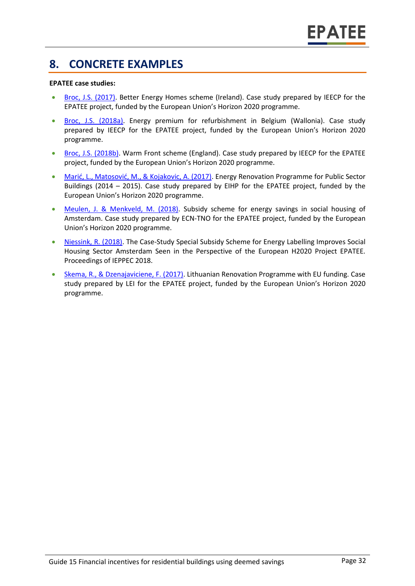## **8. CONCRETE EXAMPLES**

#### **EPATEE case studies:**

- [Broc, J.S. \(2017\).](https://www.epatee-toolbox.eu/wp-content/uploads/2018/10/epatee_case_study_ireland_better_energy_homes_ok.pdf) Better Energy Homes scheme (Ireland). Case study prepared by IEECP for the EPATEE project, funded by the European Union's Horizon 2020 programme.
- [Broc, J.S.](https://epatee.eu/system/tdf/epatee_case_study_belgium_primes_energie_ok_0.pdf?file=1&type=node&id=64) (2018a). Energy premium for refurbishment in Belgium (Wallonia). Case study prepared by IEECP for the EPATEE project, funded by the European Union's Horizon 2020 programme.
- [Broc, J.S. \(2018b\).](https://epatee.eu/system/tdf/epatee_case_study_uk_warm_front_ok_0.pdf?file=1&type=node&id=83) Warm Front scheme (England). Case study prepared by IEECP for the EPATEE project, funded by the European Union's Horizon 2020 programme.
- [Marić, L., Matosović, M., & Kojakovic, A. \(2017\)](https://epatee.eu/system/tdf/epatee_case_study_croatia_renovation_programme_for_public_sector_buildings_ok_0.pdf?file=1&type=node&id=65). Energy Renovation Programme for Public Sector Buildings (2014 – 2015). Case study prepared by EIHP for the EPATEE project, funded by the European Union's Horizon 2020 programme.
- Meulen, J. & [Menkveld, M. \(2018\).](https://www.epatee-toolbox.eu/wp-content/uploads/2018/10/epatee_case_study_netherlands_subsidy_scheme_for_energy_savings_in_social_housing_of_amsterdam_ok.pdf) Subsidy scheme for energy savings in social housing of Amsterdam. Case study prepared by ECN-TNO for the EPATEE project, funded by the European Union's Horizon 2020 programme.
- [Niessink, R. \(2018\).](http://www.ieppec.org/wp-content/uploads/2018/05/PP402_VanDerMeulen.pdf) The Case-Study Special Subsidy Scheme for Energy Labelling Improves Social Housing Sector Amsterdam Seen in the Perspective of the European H2020 Project EPATEE. Proceedings of IEPPEC 2018.
- [Skema, R., & Dzenajaviciene, F. \(2017\).](https://epatee.eu/system/tdf/epatee_case_study_lithuania_renovation_programme_with_eu_funding_ok_0.pdf?file=1&type=node&id=77) Lithuanian Renovation Programme with EU funding. Case study prepared by LEI for the EPATEE project, funded by the European Union's Horizon 2020 programme.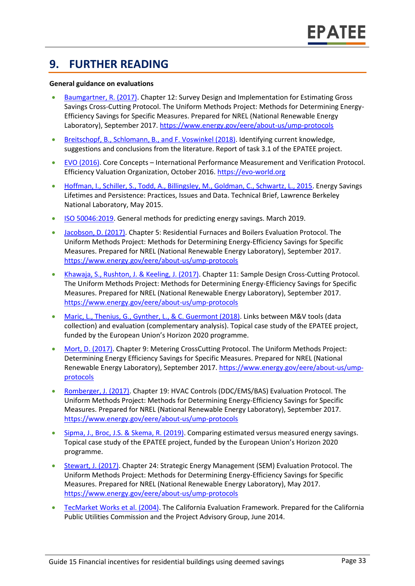## **9. FURTHER READING**

#### **General guidance on evaluations**

- [Baumgartner, R. \(2017\).](http://www.nrel.gov/docs/fy17osti/68568.pdf) Chapter 12: Survey Design and Implementation for Estimating Gross Savings Cross-Cutting Protocol. The Uniform Methods Project: Methods for Determining Energy-Efficiency Savings for Specific Measures. Prepared for NREL (National Renewable Energy Laboratory), September 2017.<https://www.energy.gov/eere/about-us/ump-protocols>
- [Breitschopf, B., Schlomann, B., and F. Voswinkel \(2018\).](https://epatee.eu/system/tdf/epatee_report_on_the_knowledge_base.pdf?file=1&type=node&id=29&force=1) Identifying current knowledge, suggestions and conclusions from the literature. Report of task 3.1 of the EPATEE project.
- [EVO \(2016\).](https://evo-world.org/en/products-services-mainmenu-en/protocols/ipmvp) Core Concepts International Performance Measurement and Verification Protocol. Efficiency Valuation Organization, October 2016. [https://evo-world.org](https://evo-world.org/)
- [Hoffman, I., Schiller, S., Todd, A., Billingsley, M., Goldman, C., Schwartz, L., 2015.](https://emp.lbl.gov/publications/energy-savings-lifetimes-and) Energy Savings Lifetimes and Persistence: Practices, Issues and Data. Technical Brief, Lawrence Berkeley National Laboratory, May 2015.
- [ISO 50046:2019.](https://www.iso.org/standard/67790.html) General methods for predicting energy savings. March 2019.
- [Jacobson, D. \(2017\).](https://www.nrel.gov/docs/fy17osti/68561.pdf) Chapter 5: Residential Furnaces and Boilers Evaluation Protocol. The Uniform Methods Project: Methods for Determining Energy-Efficiency Savings for Specific Measures. Prepared for NREL (National Renewable Energy Laboratory), September 2017. <https://www.energy.gov/eere/about-us/ump-protocols>
- [Khawaja, S., Rushton, J. & Keeling, J. \(2017\).](https://www.nrel.gov/docs/fy17osti/68567.pdf) Chapter 11: Sample Design Cross-Cutting Protocol. The Uniform Methods Project: Methods for Determining Energy-Efficiency Savings for Specific Measures. Prepared for NREL (National Renewable Energy Laboratory), September 2017. <https://www.energy.gov/eere/about-us/ump-protocols>
- [Maric, L., Thenius, G., Gynther, L., & C. Guermont \(2018\).](https://www.epatee-toolbox.eu/evaluation-principles-and-methods/epatee-topical-case-study-linkage-between-mv-tools-data-collection-and-evaluation-complementary-analysis/) Links between M&V tools (data collection) and evaluation (complementary analysis). Topical case study of the EPATEE project, funded by the European Union's Horizon 2020 programme.
- [Mort, D. \(2017\).](https://www.nrel.gov/docs/fy17osti/68565.pdf) Chapter 9: Metering CrossCutting Protocol. The Uniform Methods Project: Determining Energy Efficiency Savings for Specific Measures. Prepared for NREL (National Renewable Energy Laboratory), September 2017. [https://www.energy.gov/eere/about-us/ump](https://www.energy.gov/eere/about-us/ump-protocols)[protocols](https://www.energy.gov/eere/about-us/ump-protocols)
- [Romberger, J. \(2017\).](https://www.nrel.gov/docs/fy17osti/68575.pdf) Chapter 19: HVAC Controls (DDC/EMS/BAS) Evaluation Protocol. The Uniform Methods Project: Methods for Determining Energy-Efficiency Savings for Specific Measures. Prepared for NREL (National Renewable Energy Laboratory), September 2017. <https://www.energy.gov/eere/about-us/ump-protocols>
- [Sipma, J., Broc, J.S. & Skema, R. \(2019\).](https://www.epatee-toolbox.eu/evaluation-principles-and-methods/epatee-topical-case-study-comparing-estimated-versus-measured-energy-savings/) Comparing estimated versus measured energy savings. Topical case study of the EPATEE project, funded by the European Union's Horizon 2020 programme.
- [Stewart, J. \(2017\).](https://www.nrel.gov/docs/fy17osti/68316.pdf) Chapter 24: Strategic Energy Management (SEM) Evaluation Protocol. The Uniform Methods Project: Methods for Determining Energy-Efficiency Savings for Specific Measures. Prepared for NREL (National Renewable Energy Laboratory), May 2017. <https://www.energy.gov/eere/about-us/ump-protocols>
- [TecMarket Works et al. \(2004\).](https://www.google.nl/url?sa=t&rct=j&q=&esrc=s&source=web&cd=1&ved=2ahUKEwjog7Lj-rTlAhXSL1AKHQHqAJIQFjAAegQIAxAJ&url=http%3A%2F%2Fwww.calmac.org%2FstartDownload.asp%3FName%3DCommercial%255FWhole%255FBuilding%255FJoint%255FStudy%255FID%255FPGE0431%252E01%252Epdf%26Size%3D997KB&usg=AOvVaw36a9mn9q8rkM-sFAYyIcCn) The California Evaluation Framework. Prepared for the California Public Utilities Commission and the Project Advisory Group, June 2014.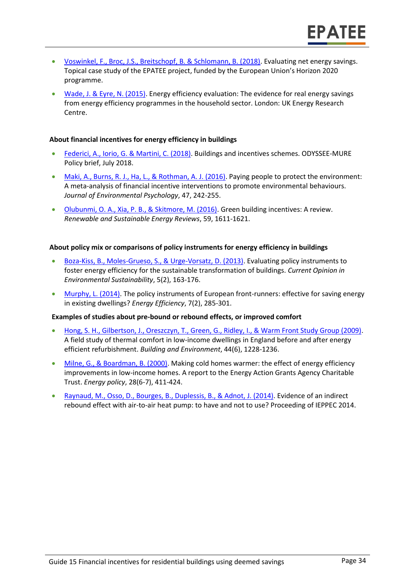- [Voswinkel, F., Broc, J.S., Breitschopf, B. & Schlomann, B. \(2018\).](https://www.epatee-toolbox.eu/?page_id=416) Evaluating net energy savings. Topical case study of the EPATEE project, funded by the European Union's Horizon 2020 programme.
- [Wade, J. & Eyre, N. \(2015\).](http://www.ukerc.ac.uk/programmes/technology-and-policy-assessment/energy-efficiency-evaluation.html) Energy efficiency evaluation: The evidence for real energy savings from energy efficiency programmes in the household sector. London: UK Energy Research Centre.

#### **About financial incentives for energy efficiency in buildings**

- [Federici, A., Iorio, G. & Martini, C. \(2018\).](http://www.odyssee-mure.eu/publications/policy-brief/increasing-building-energy-efficiency-incentive-schemes.pdf) Buildings and incentives schemes. ODYSSEE-MURE Policy brief, July 2018.
- [Maki, A., Burns, R. J., Ha, L., & Rothman, A. J. \(2016\).](http://www.alexmaki.com/uploads/5/1/9/7/5197184/paying_people_to_protect_-_maki_et_al._-_accepted_version.pdf) Paying people to protect the environment: A meta-analysis of financial incentive interventions to promote environmental behaviours. *Journal of Environmental Psychology*, 47, 242-255.
- [Olubunmi, O. A., Xia, P. B., & Skitmore, M. \(2016\).](http://eprints.qut.edu.au/92701/3/92701.pdf) Green building incentives: A review. *Renewable and Sustainable Energy Reviews*, 59, 1611-1621.

#### **About policy mix or comparisons of policy instruments for energy efficiency in buildings**

- [Boza-Kiss, B., Moles-Grueso, S., & Urge-Vorsatz, D. \(2013\).](https://www.sciencedirect.com/science/article/pii/S1877343513000341) Evaluating policy instruments to foster energy efficiency for the sustainable transformation of buildings. *Current Opinion in Environmental Sustainability*, 5(2), 163-176.
- [Murphy, L. \(2014\).](https://www.researchgate.net/profile/Lorraine_Murphy2/publication/263610948_The_policy_instruments_of_European_front-runners_Effective_for_saving_energy_in_existing_dwellings/links/56ddc59908aed4e2a99c5cdf.pdf) The policy instruments of European front-runners: effective for saving energy in existing dwellings? *Energy Efficiency*, 7(2), 285-301.

#### **Examples of studies about pre-bound or rebound effects, or improved comfort**

- [Hong, S. H., Gilbertson, J., Oreszczyn, T., Green, G., Ridley, I., & Warm Front Study Group \(2009\).](http://discovery.ucl.ac.uk/15210/1/15210.pdf) A field study of thermal comfort in low-income dwellings in England before and after energy efficient refurbishment. *Building and Environment*, 44(6), 1228-1236.
- [Milne, G., & Boardman, B. \(2000\).](https://www.sciencedirect.com/science/article/pii/S0301421500000197) Making cold homes warmer: the effect of energy efficiency improvements in low-income homes. A report to the Energy Action Grants Agency Charitable Trust. *Energy policy*, 28(6-7), 411-424.
- [Raynaud, M., Osso, D., Bourges, B., Duplessis, B., & Adnot, J. \(2014\).](https://energy-evaluation.org/wp-content/uploads/2019/06/2014-berlin-maxime-raynaud.pdf) Evidence of an indirect rebound effect with air-to-air heat pump: to have and not to use? Proceeding of IEPPEC 2014.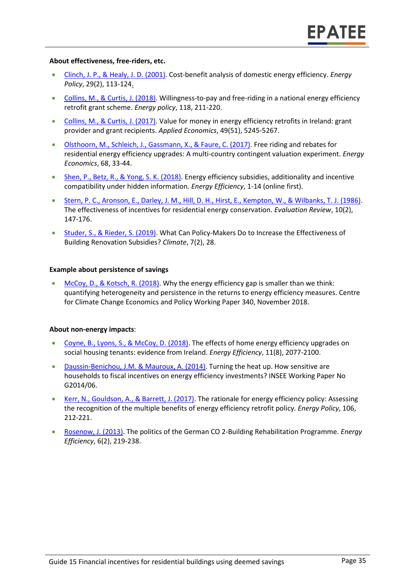#### **About effectiveness, free-riders, etc.**

- [Clinch, J. P., & Healy, J. D. \(2001\).](https://pdfs.semanticscholar.org/0c5a/62027a92577ef72238b72b9bbdbeca929cb7.pdf) Cost-benefit analysis of domestic energy efficiency. *Energy Policy*, 29(2), 113-124.
- [Collins, M., & Curtis, J. \(2018\).](https://www.sciencedirect.com/science/article/pii/S0301421518301897) Willingness-to-pay and free-riding in a national energy efficiency retrofit grant scheme. *Energy policy*, 118, 211-220.
- [Collins, M., & Curtis, J. \(2017\).](https://www.econstor.eu/bitstream/10419/174275/1/WP542.pdf) Value for money in energy efficiency retrofits in Ireland: grant provider and grant recipients. *Applied Economics*, 49(51), 5245-5267.
- [Olsthoorn, M., Schleich, J., Gassmann, X., & Faure, C. \(2017\).](https://www.econstor.eu/bitstream/10419/167585/1/89506796X.pdf) Free riding and rebates for residential energy efficiency upgrades: A multi-country contingent valuation experiment. *Energy Economics*, 68, 33-44.
- [Shen, P., Betz, R., & Yong, S. K. \(2018\).](https://link.springer.com/article/10.1007/s12053-018-9745-2) Energy efficiency subsidies, additionality and incentive compatibility under hidden information. *Energy Efficiency*, 1-14 (online first).
- [Stern, P. C., Aronson, E., Darley, J. M., Hill, D. H., Hirst, E., Kempton, W., & Wilbanks, T. J. \(1986\).](https://journals.sagepub.com/doi/abs/10.1177/0193841X8601000201) The effectiveness of incentives for residential energy conservation. *Evaluation Review*, 10(2), 147-176.
- [Studer, S., & Rieder, S. \(2019\).](https://www.mdpi.com/2225-1154/7/2/28/pdf) What Can Policy-Makers Do to Increase the Effectiveness of Building Renovation Subsidies? *Climate*, 7(2), 28.

#### **Example about persistence of savings**

[McCoy, D., & Kotsch, R. \(2018\).](http://www.lse.ac.uk/GranthamInstitute/wp-content/uploads/2018/11/working-paper-306-McCoy-Kotsch.pdf) Why the energy efficiency gap is smaller than we think: quantifying heterogeneity and persistence in the returns to energy efficiency measures. Centre for Climate Change Economics and Policy Working Paper 340, November 2018.

#### **About non-energy impacts**:

- [Coyne, B., Lyons, S., & McCoy, D. \(2018\).](https://link.springer.com/article/10.1007/s12053-018-9688-7) The effects of home energy efficiency upgrades on social housing tenants: evidence from Ireland. *Energy Efficiency*, 11(8), 2077-2100.
- [Daussin-Benichou, J.M. & Mauroux, A. \(2014\).](https://www.insee.fr/en/statistiques/1381112) Turning the heat up. How sensitive are households to fiscal incentives on energy efficiency investments? INSEE Working Paper No G2014/06.
- [Kerr, N., Gouldson, A., & Barrett, J. \(2017\).](https://www.sciencedirect.com/science/article/pii/S0301421517302069) The rationale for energy efficiency policy: Assessing the recognition of the multiple benefits of energy efficiency retrofit policy. *Energy Policy*, 106, 212-221.
- [Rosenow, J. \(2013\).](http://de.janrosenow.com/uploads/4/7/1/2/4712328/rosenow_2013_the_politics_of_the_german_co2_building_rehabilitation_programme.pdf) The politics of the German CO 2-Building Rehabilitation Programme. *Energy Efficiency*, 6(2), 219-238.